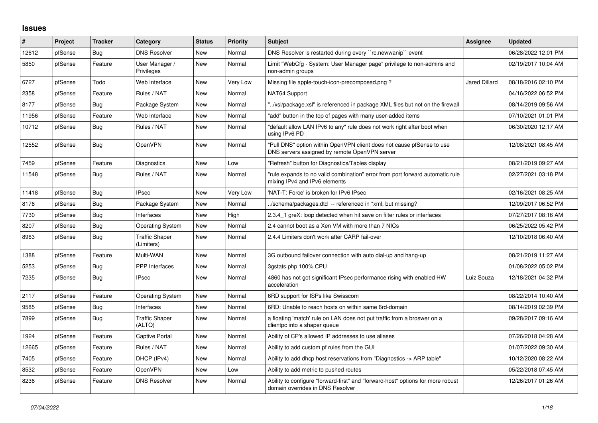## **Issues**

| #     | Project | <b>Tracker</b> | Category                            | <b>Status</b> | <b>Priority</b> | <b>Subject</b>                                                                                                         | Assignee             | <b>Updated</b>      |
|-------|---------|----------------|-------------------------------------|---------------|-----------------|------------------------------------------------------------------------------------------------------------------------|----------------------|---------------------|
| 12612 | pfSense | Bug            | <b>DNS Resolver</b>                 | New           | Normal          | DNS Resolver is restarted during every "rc.newwanip" event                                                             |                      | 06/28/2022 12:01 PM |
| 5850  | pfSense | Feature        | User Manager /<br>Privileges        | <b>New</b>    | Normal          | Limit "WebCfg - System: User Manager page" privilege to non-admins and<br>non-admin groups                             |                      | 02/19/2017 10:04 AM |
| 6727  | pfSense | Todo           | Web Interface                       | New           | Very Low        | Missing file apple-touch-icon-precomposed.png?                                                                         | <b>Jared Dillard</b> | 08/18/2016 02:10 PM |
| 2358  | pfSense | Feature        | Rules / NAT                         | New           | Normal          | NAT64 Support                                                                                                          |                      | 04/16/2022 06:52 PM |
| 8177  | pfSense | Bug            | Package System                      | New           | Normal          | '/xsl/package.xsl" is referenced in package XML files but not on the firewall                                          |                      | 08/14/2019 09:56 AM |
| 11956 | pfSense | Feature        | Web Interface                       | New           | Normal          | 'add" button in the top of pages with many user-added items                                                            |                      | 07/10/2021 01:01 PM |
| 10712 | pfSense | Bug            | Rules / NAT                         | New           | Normal          | "default allow LAN IPv6 to any" rule does not work right after boot when<br>using IPv6 PD                              |                      | 06/30/2020 12:17 AM |
| 12552 | pfSense | Bug            | <b>OpenVPN</b>                      | New           | Normal          | "Pull DNS" option within OpenVPN client does not cause pfSense to use<br>DNS servers assigned by remote OpenVPN server |                      | 12/08/2021 08:45 AM |
| 7459  | pfSense | Feature        | Diagnostics                         | New           | Low             | "Refresh" button for Diagnostics/Tables display                                                                        |                      | 08/21/2019 09:27 AM |
| 11548 | pfSense | <b>Bug</b>     | Rules / NAT                         | New           | Normal          | "rule expands to no valid combination" error from port forward automatic rule<br>mixing IPv4 and IPv6 elements         |                      | 02/27/2021 03:18 PM |
| 11418 | pfSense | Bug            | <b>IPsec</b>                        | New           | Very Low        | 'NAT-T: Force' is broken for IPv6 IPsec                                                                                |                      | 02/16/2021 08:25 AM |
| 8176  | pfSense | Bug            | Package System                      | <b>New</b>    | Normal          | ./schema/packages.dtd -- referenced in *xml, but missing?                                                              |                      | 12/09/2017 06:52 PM |
| 7730  | pfSense | <b>Bug</b>     | Interfaces                          | <b>New</b>    | High            | 2.3.4 1 greX: loop detected when hit save on filter rules or interfaces                                                |                      | 07/27/2017 08:16 AM |
| 8207  | pfSense | Bug            | <b>Operating System</b>             | New           | Normal          | 2.4 cannot boot as a Xen VM with more than 7 NICs                                                                      |                      | 06/25/2022 05:42 PM |
| 8963  | pfSense | <b>Bug</b>     | <b>Traffic Shaper</b><br>(Limiters) | New           | Normal          | 2.4.4 Limiters don't work after CARP fail-over                                                                         |                      | 12/10/2018 06:40 AM |
| 1388  | pfSense | Feature        | Multi-WAN                           | New           | Normal          | 3G outbound failover connection with auto dial-up and hang-up                                                          |                      | 08/21/2019 11:27 AM |
| 5253  | pfSense | <b>Bug</b>     | PPP Interfaces                      | <b>New</b>    | Normal          | 3qstats.php 100% CPU                                                                                                   |                      | 01/08/2022 05:02 PM |
| 7235  | pfSense | Bug            | <b>IPsec</b>                        | New           | Normal          | 4860 has not got significant IPsec performance rising with enabled HW<br>acceleration                                  | Luiz Souza           | 12/18/2021 04:32 PM |
| 2117  | pfSense | Feature        | <b>Operating System</b>             | New           | Normal          | 6RD support for ISPs like Swisscom                                                                                     |                      | 08/22/2014 10:40 AM |
| 9585  | pfSense | Bug            | Interfaces                          | <b>New</b>    | Normal          | 6RD: Unable to reach hosts on within same 6rd-domain                                                                   |                      | 08/14/2019 02:39 PM |
| 7899  | pfSense | Bug            | <b>Traffic Shaper</b><br>(ALTQ)     | New           | Normal          | a floating 'match' rule on LAN does not put traffic from a broswer on a<br>clientpc into a shaper queue                |                      | 09/28/2017 09:16 AM |
| 1924  | pfSense | Feature        | <b>Captive Portal</b>               | <b>New</b>    | Normal          | Ability of CP's allowed IP addresses to use aliases                                                                    |                      | 07/26/2018 04:28 AM |
| 12665 | pfSense | Feature        | Rules / NAT                         | New           | Normal          | Ability to add custom pf rules from the GUI                                                                            |                      | 01/07/2022 09:30 AM |
| 7405  | pfSense | Feature        | DHCP (IPv4)                         | New           | Normal          | Ability to add dhcp host reservations from "Diagnostics -> ARP table"                                                  |                      | 10/12/2020 08:22 AM |
| 8532  | pfSense | Feature        | <b>OpenVPN</b>                      | <b>New</b>    | Low             | Ability to add metric to pushed routes                                                                                 |                      | 05/22/2018 07:45 AM |
| 8236  | pfSense | Feature        | <b>DNS Resolver</b>                 | New           | Normal          | Ability to configure "forward-first" and "forward-host" options for more robust<br>domain overrides in DNS Resolver    |                      | 12/26/2017 01:26 AM |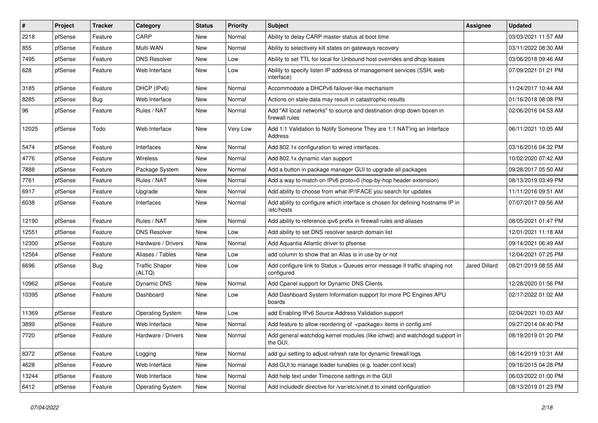| $\vert$ # | Project | <b>Tracker</b> | Category                        | <b>Status</b> | <b>Priority</b> | <b>Subject</b>                                                                               | <b>Assignee</b> | <b>Updated</b>      |
|-----------|---------|----------------|---------------------------------|---------------|-----------------|----------------------------------------------------------------------------------------------|-----------------|---------------------|
| 2218      | pfSense | Feature        | CARP                            | New           | Normal          | Ability to delay CARP master status at boot time                                             |                 | 03/03/2021 11:57 AM |
| 855       | pfSense | Feature        | Multi-WAN                       | New           | Normal          | Ability to selectively kill states on gateways recovery                                      |                 | 03/11/2022 08:30 AM |
| 7495      | pfSense | Feature        | <b>DNS Resolver</b>             | New           | Low             | Ability to set TTL for local for Unbound host overrides and dhcp leases                      |                 | 03/06/2018 09:46 AM |
| 628       | pfSense | Feature        | Web Interface                   | New           | Low             | Ability to specify listen IP address of management services (SSH, web<br>interface)          |                 | 07/09/2021 01:21 PM |
| 3185      | pfSense | Feature        | DHCP (IPv6)                     | New           | Normal          | Accommodate a DHCPv6 failover-like mechanism                                                 |                 | 11/24/2017 10:44 AM |
| 8285      | pfSense | <b>Bug</b>     | Web Interface                   | New           | Normal          | Actions on stale data may result in catastrophic results                                     |                 | 01/16/2018 08:08 PM |
| 96        | pfSense | Feature        | Rules / NAT                     | New           | Normal          | Add "All local networks" to source and destination drop down boxen in<br>firewall rules      |                 | 02/06/2016 04:53 AM |
| 12025     | pfSense | Todo           | Web Interface                   | New           | Very Low        | Add 1:1 Validation to Notify Someone They are 1:1 NAT'ing an Interface<br>Address            |                 | 06/11/2021 10:05 AM |
| 5474      | pfSense | Feature        | Interfaces                      | New           | Normal          | Add 802.1x configuration to wired interfaces.                                                |                 | 03/16/2016 04:32 PM |
| 4776      | pfSense | Feature        | Wireless                        | New           | Normal          | Add 802.1x dynamic vlan support                                                              |                 | 10/02/2020 07:42 AM |
| 7888      | pfSense | Feature        | Package System                  | New           | Normal          | Add a button in package manager GUI to upgrade all packages                                  |                 | 09/28/2017 05:50 AM |
| 7761      | pfSense | Feature        | Rules / NAT                     | New           | Normal          | Add a way to match on IPv6 proto=0 (hop-by-hop header extension)                             |                 | 08/13/2019 03:49 PM |
| 6917      | pfSense | Feature        | Upgrade                         | New           | Normal          | Add ability to choose from what IP/IFACE you search for updates                              |                 | 11/11/2016 09:51 AM |
| 6038      | pfSense | Feature        | Interfaces                      | New           | Normal          | Add ability to configure which interface is chosen for defining hostname IP in<br>/etc/hosts |                 | 07/07/2017 09:56 AM |
| 12190     | pfSense | Feature        | Rules / NAT                     | New           | Normal          | Add ability to reference ipv6 prefix in firewall rules and aliases                           |                 | 08/05/2021 01:47 PM |
| 12551     | pfSense | Feature        | <b>DNS Resolver</b>             | New           | Low             | Add ability to set DNS resolver search domain list                                           |                 | 12/01/2021 11:18 AM |
| 12300     | pfSense | Feature        | Hardware / Drivers              | New           | Normal          | Add Aquantia Atlantic driver to pfsense                                                      |                 | 09/14/2021 06:49 AM |
| 12564     | pfSense | Feature        | Aliases / Tables                | New           | Low             | add column to show that an Alias is in use by or not                                         |                 | 12/04/2021 07:25 PM |
| 6696      | pfSense | <b>Bug</b>     | <b>Traffic Shaper</b><br>(ALTQ) | New           | Low             | Add configure link to Status > Queues error message if traffic shaping not<br>configured     | Jared Dillard   | 08/21/2019 08:55 AM |
| 10962     | pfSense | Feature        | <b>Dynamic DNS</b>              | New           | Normal          | Add Cpanel support for Dynamic DNS Clients                                                   |                 | 12/28/2020 01:56 PM |
| 10395     | pfSense | Feature        | Dashboard                       | New           | Low             | Add Dashboard System Information support for more PC Engines APU<br>boards                   |                 | 02/17/2022 01:02 AM |
| 11369     | pfSense | Feature        | <b>Operating System</b>         | New           | Low             | add Enabling IPv6 Source Address Validation support                                          |                 | 02/04/2021 10:03 AM |
| 3899      | pfSense | Feature        | Web Interface                   | New           | Normal          | Add feature to allow reordering of <package> items in config.xml</package>                   |                 | 09/27/2014 04:40 PM |
| 7720      | pfSense | Feature        | Hardware / Drivers              | New           | Normal          | Add general watchdog kernel modules (like ichwd) and watchdogd support in<br>the GUI.        |                 | 08/19/2019 01:20 PM |
| 8372      | pfSense | Feature        | Logging                         | New           | Normal          | add gui setting to adjust refresh rate for dynamic firewall logs                             |                 | 08/14/2019 10:31 AM |
| 4628      | pfSense | Feature        | Web Interface                   | New           | Normal          | Add GUI to manage loader tunables (e.g. loader.conf.local)                                   |                 | 09/16/2015 04:28 PM |
| 13244     | pfSense | Feature        | Web Interface                   | New           | Normal          | Add help text under Timezone settings in the GUI                                             |                 | 06/03/2022 01:00 PM |
| 6412      | pfSense | Feature        | <b>Operating System</b>         | New           | Normal          | Add includedir directive for /var/etc/xinet.d to xinetd configuration                        |                 | 08/13/2019 01:23 PM |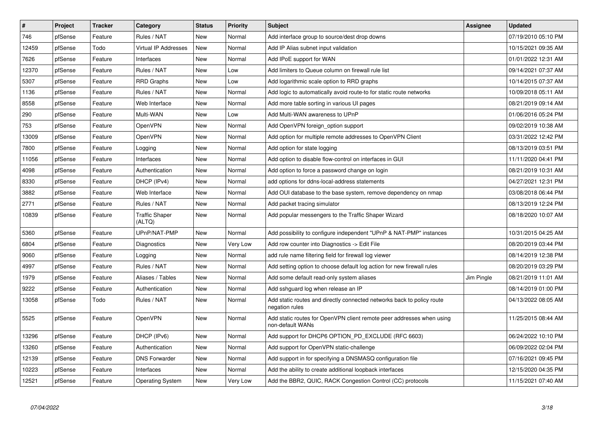| $\vert$ # | Project | <b>Tracker</b> | Category                        | <b>Status</b> | Priority | <b>Subject</b>                                                                            | Assignee   | <b>Updated</b>      |
|-----------|---------|----------------|---------------------------------|---------------|----------|-------------------------------------------------------------------------------------------|------------|---------------------|
| 746       | pfSense | Feature        | Rules / NAT                     | New           | Normal   | Add interface group to source/dest drop downs                                             |            | 07/19/2010 05:10 PM |
| 12459     | pfSense | Todo           | Virtual IP Addresses            | New           | Normal   | Add IP Alias subnet input validation                                                      |            | 10/15/2021 09:35 AM |
| 7626      | pfSense | Feature        | Interfaces                      | New           | Normal   | Add IPoE support for WAN                                                                  |            | 01/01/2022 12:31 AM |
| 12370     | pfSense | Feature        | Rules / NAT                     | New           | Low      | Add limiters to Queue column on firewall rule list                                        |            | 09/14/2021 07:37 AM |
| 5307      | pfSense | Feature        | <b>RRD Graphs</b>               | <b>New</b>    | Low      | Add logarithmic scale option to RRD graphs                                                |            | 10/14/2015 07:37 AM |
| 1136      | pfSense | Feature        | Rules / NAT                     | New           | Normal   | Add logic to automatically avoid route-to for static route networks                       |            | 10/09/2018 05:11 AM |
| 8558      | pfSense | Feature        | Web Interface                   | <b>New</b>    | Normal   | Add more table sorting in various UI pages                                                |            | 08/21/2019 09:14 AM |
| 290       | pfSense | Feature        | Multi-WAN                       | New           | Low      | Add Multi-WAN awareness to UPnP                                                           |            | 01/06/2016 05:24 PM |
| 753       | pfSense | Feature        | OpenVPN                         | <b>New</b>    | Normal   | Add OpenVPN foreign option support                                                        |            | 09/02/2019 10:38 AM |
| 13009     | pfSense | Feature        | <b>OpenVPN</b>                  | New           | Normal   | Add option for multiple remote addresses to OpenVPN Client                                |            | 03/31/2022 12:42 PM |
| 7800      | pfSense | Feature        | Logging                         | New           | Normal   | Add option for state logging                                                              |            | 08/13/2019 03:51 PM |
| 11056     | pfSense | Feature        | Interfaces                      | New           | Normal   | Add option to disable flow-control on interfaces in GUI                                   |            | 11/11/2020 04:41 PM |
| 4098      | pfSense | Feature        | Authentication                  | <b>New</b>    | Normal   | Add option to force a password change on login                                            |            | 08/21/2019 10:31 AM |
| 8330      | pfSense | Feature        | DHCP (IPv4)                     | New           | Normal   | add options for ddns-local-address statements                                             |            | 04/27/2021 12:31 PM |
| 3882      | pfSense | Feature        | Web Interface                   | New           | Normal   | Add OUI database to the base system, remove dependency on nmap                            |            | 03/08/2018 06:44 PM |
| 2771      | pfSense | Feature        | Rules / NAT                     | New           | Normal   | Add packet tracing simulator                                                              |            | 08/13/2019 12:24 PM |
| 10839     | pfSense | Feature        | <b>Traffic Shaper</b><br>(ALTQ) | New           | Normal   | Add popular messengers to the Traffic Shaper Wizard                                       |            | 08/18/2020 10:07 AM |
| 5360      | pfSense | Feature        | UPnP/NAT-PMP                    | New           | Normal   | Add possibility to configure independent "UPnP & NAT-PMP" instances                       |            | 10/31/2015 04:25 AM |
| 6804      | pfSense | Feature        | Diagnostics                     | New           | Very Low | Add row counter into Diagnostics -> Edit File                                             |            | 08/20/2019 03:44 PM |
| 9060      | pfSense | Feature        | Logging                         | New           | Normal   | add rule name filtering field for firewall log viewer                                     |            | 08/14/2019 12:38 PM |
| 4997      | pfSense | Feature        | Rules / NAT                     | New           | Normal   | Add setting option to choose default log action for new firewall rules                    |            | 08/20/2019 03:29 PM |
| 1979      | pfSense | Feature        | Aliases / Tables                | <b>New</b>    | Normal   | Add some default read-only system aliases                                                 | Jim Pingle | 08/21/2019 11:01 AM |
| 9222      | pfSense | Feature        | Authentication                  | New           | Normal   | Add sshguard log when release an IP                                                       |            | 08/14/2019 01:00 PM |
| 13058     | pfSense | Todo           | Rules / NAT                     | <b>New</b>    | Normal   | Add static routes and directly connected networks back to policy route<br>negation rules  |            | 04/13/2022 08:05 AM |
| 5525      | pfSense | Feature        | <b>OpenVPN</b>                  | New           | Normal   | Add static routes for OpenVPN client remote peer addresses when using<br>non-default WANs |            | 11/25/2015 08:44 AM |
| 13296     | pfSense | Feature        | DHCP (IPv6)                     | <b>New</b>    | Normal   | Add support for DHCP6 OPTION PD EXCLUDE (RFC 6603)                                        |            | 06/24/2022 10:10 PM |
| 13260     | pfSense | Feature        | Authentication                  | New           | Normal   | Add support for OpenVPN static-challenge                                                  |            | 06/09/2022 02:04 PM |
| 12139     | pfSense | Feature        | <b>DNS Forwarder</b>            | New           | Normal   | Add support in for specifying a DNSMASQ configuration file                                |            | 07/16/2021 09:45 PM |
| 10223     | pfSense | Feature        | Interfaces                      | New           | Normal   | Add the ability to create additional loopback interfaces                                  |            | 12/15/2020 04:35 PM |
| 12521     | pfSense | Feature        | <b>Operating System</b>         | <b>New</b>    | Very Low | Add the BBR2, QUIC, RACK Congestion Control (CC) protocols                                |            | 11/15/2021 07:40 AM |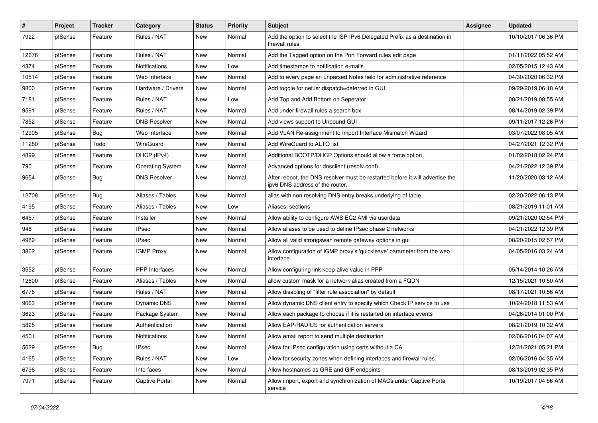| $\sharp$ | Project | <b>Tracker</b> | Category                | <b>Status</b> | <b>Priority</b> | <b>Subject</b>                                                                                                   | Assignee | <b>Updated</b>      |
|----------|---------|----------------|-------------------------|---------------|-----------------|------------------------------------------------------------------------------------------------------------------|----------|---------------------|
| 7922     | pfSense | Feature        | Rules / NAT             | New           | Normal          | Add the option to select the ISP IPv6 Delegated Prefix as a destination in<br>firewall rules                     |          | 10/10/2017 06:36 PM |
| 12676    | pfSense | Feature        | Rules / NAT             | New           | Normal          | Add the Tagged option on the Port Forward rules edit page                                                        |          | 01/11/2022 05:52 AM |
| 4374     | pfSense | Feature        | Notifications           | New           | Low             | Add timestamps to notification e-mails                                                                           |          | 02/05/2015 12:43 AM |
| 10514    | pfSense | Feature        | Web Interface           | New           | Normal          | Add to every page an unparsed Notes field for administrative reference                                           |          | 04/30/2020 06:32 PM |
| 9800     | pfSense | Feature        | Hardware / Drivers      | New           | Normal          | Add toggle for net.isr.dispatch=deferred in GUI                                                                  |          | 09/29/2019 06:18 AM |
| 7181     | pfSense | Feature        | Rules / NAT             | New           | Low             | Add Top and Add Bottom on Seperator                                                                              |          | 08/21/2019 08:55 AM |
| 9591     | pfSense | Feature        | Rules / NAT             | New           | Normal          | Add under firewall rules a search box                                                                            |          | 08/14/2019 02:39 PM |
| 7852     | pfSense | Feature        | <b>DNS Resolver</b>     | New           | Normal          | Add views support to Unbound GUI                                                                                 |          | 09/11/2017 12:26 PM |
| 12905    | pfSense | <b>Bug</b>     | Web Interface           | New           | Normal          | Add VLAN Re-assignment to Import Interface Mismatch Wizard                                                       |          | 03/07/2022 08:05 AM |
| 11280    | pfSense | Todo           | WireGuard               | New           | Normal          | Add WireGuard to ALTQ list                                                                                       |          | 04/27/2021 12:32 PM |
| 4899     | pfSense | Feature        | DHCP (IPv4)             | New           | Normal          | Additional BOOTP/DHCP Options should allow a force option                                                        |          | 01/02/2018 02:24 PM |
| 790      | pfSense | Feature        | <b>Operating System</b> | New           | Normal          | Advanced options for dnsclient (resolv.conf)                                                                     |          | 04/21/2022 12:39 PM |
| 9654     | pfSense | Bug            | <b>DNS Resolver</b>     | New           | Normal          | After reboot, the DNS resolver must be restarted before it will advertise the<br>ipv6 DNS address of the router. |          | 11/20/2020 03:12 AM |
| 12708    | pfSense | Bug            | Aliases / Tables        | New           | Normal          | alias with non resolving DNS entry breaks underlying pf table                                                    |          | 02/20/2022 06:13 PM |
| 4195     | pfSense | Feature        | Aliases / Tables        | New           | Low             | Aliases: sections                                                                                                |          | 08/21/2019 11:01 AM |
| 6457     | pfSense | Feature        | Installer               | New           | Normal          | Allow ability to configure AWS EC2 AMI via userdata                                                              |          | 09/21/2020 02:54 PM |
| 946      | pfSense | Feature        | IPsec                   | New           | Normal          | Allow aliases to be used to define IPsec phase 2 networks                                                        |          | 04/21/2022 12:39 PM |
| 4989     | pfSense | Feature        | <b>IPsec</b>            | New           | Normal          | Allow all valid strongswan remote gateway options in gui                                                         |          | 08/20/2015 02:57 PM |
| 3862     | pfSense | Feature        | <b>IGMP Proxy</b>       | New           | Normal          | Allow configuration of IGMP proxy's 'quickleave' parameter from the web<br>interface                             |          | 04/05/2016 03:24 AM |
| 3552     | pfSense | Feature        | PPP Interfaces          | New           | Normal          | Allow configuring link keep-alive value in PPP                                                                   |          | 05/14/2014 10:26 AM |
| 12600    | pfSense | Feature        | Aliases / Tables        | New           | Normal          | allow custom mask for a network alias created from a FQDN                                                        |          | 12/15/2021 10:50 AM |
| 6776     | pfSense | Feature        | Rules / NAT             | New           | Normal          | Allow disabling of "filter rule association" by default                                                          |          | 08/17/2021 10:56 AM |
| 9063     | pfSense | Feature        | <b>Dynamic DNS</b>      | New           | Normal          | Allow dynamic DNS client entry to specify which Check IP service to use                                          |          | 10/24/2018 11:53 AM |
| 3623     | pfSense | Feature        | Package System          | New           | Normal          | Allow each package to choose if it is restarted on interface events                                              |          | 04/26/2014 01:00 PM |
| 5825     | pfSense | Feature        | Authentication          | New           | Normal          | Allow EAP-RADIUS for authentication servers                                                                      |          | 08/21/2019 10:32 AM |
| 4501     | pfSense | Feature        | <b>Notifications</b>    | New           | Normal          | Allow email report to send multiple destination                                                                  |          | 02/06/2016 04:07 AM |
| 5629     | pfSense | Bug            | <b>IPsec</b>            | New           | Normal          | Allow for IPsec configuration using certs without a CA                                                           |          | 12/31/2021 05:21 PM |
| 4165     | pfSense | Feature        | Rules / NAT             | New           | Low             | Allow for security zones when defining interfaces and firewall rules.                                            |          | 02/06/2016 04:35 AM |
| 6796     | pfSense | Feature        | Interfaces              | New           | Normal          | Allow hostnames as GRE and GIF endpoints                                                                         |          | 08/13/2019 02:35 PM |
| 7971     | pfSense | Feature        | Captive Portal          | New           | Normal          | Allow import, export and synchronization of MACs under Captive Portal<br>service                                 |          | 10/19/2017 04:56 AM |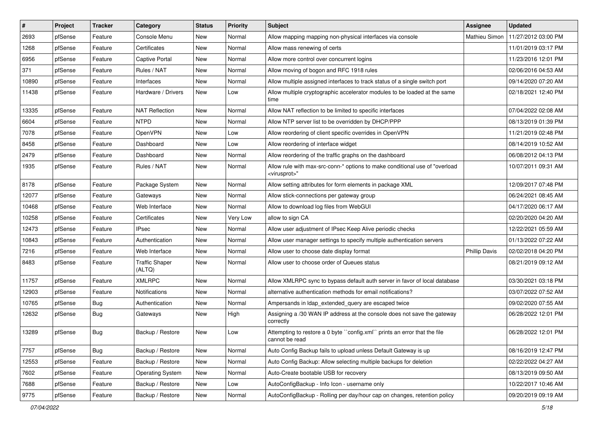| $\vert$ # | Project | <b>Tracker</b> | Category                        | <b>Status</b> | <b>Priority</b> | Subject                                                                                                  | Assignee             | <b>Updated</b>      |
|-----------|---------|----------------|---------------------------------|---------------|-----------------|----------------------------------------------------------------------------------------------------------|----------------------|---------------------|
| 2693      | pfSense | Feature        | Console Menu                    | New           | Normal          | Allow mapping mapping non-physical interfaces via console                                                | Mathieu Simon        | 11/27/2012 03:00 PM |
| 1268      | pfSense | Feature        | Certificates                    | New           | Normal          | Allow mass renewing of certs                                                                             |                      | 11/01/2019 03:17 PM |
| 6956      | pfSense | Feature        | Captive Portal                  | New           | Normal          | Allow more control over concurrent logins                                                                |                      | 11/23/2016 12:01 PM |
| 371       | pfSense | Feature        | Rules / NAT                     | New           | Normal          | Allow moving of bogon and RFC 1918 rules                                                                 |                      | 02/06/2016 04:53 AM |
| 10890     | pfSense | Feature        | Interfaces                      | <b>New</b>    | Normal          | Allow multiple assigned interfaces to track status of a single switch port                               |                      | 09/14/2020 07:20 AM |
| 11438     | pfSense | Feature        | Hardware / Drivers              | New           | Low             | Allow multiple cryptographic accelerator modules to be loaded at the same<br>time                        |                      | 02/18/2021 12:40 PM |
| 13335     | pfSense | Feature        | <b>NAT Reflection</b>           | New           | Normal          | Allow NAT reflection to be limited to specific interfaces                                                |                      | 07/04/2022 02:08 AM |
| 6604      | pfSense | Feature        | <b>NTPD</b>                     | New           | Normal          | Allow NTP server list to be overridden by DHCP/PPP                                                       |                      | 08/13/2019 01:39 PM |
| 7078      | pfSense | Feature        | OpenVPN                         | New           | Low             | Allow reordering of client specific overrides in OpenVPN                                                 |                      | 11/21/2019 02:48 PM |
| 8458      | pfSense | Feature        | Dashboard                       | New           | Low             | Allow reordering of interface widget                                                                     |                      | 08/14/2019 10:52 AM |
| 2479      | pfSense | Feature        | Dashboard                       | New           | Normal          | Allow reordering of the traffic graphs on the dashboard                                                  |                      | 06/08/2012 04:13 PM |
| 1935      | pfSense | Feature        | Rules / NAT                     | New           | Normal          | Allow rule with max-src-conn-* options to make conditional use of "overload"<br><virusprot>"</virusprot> |                      | 10/07/2011 09:31 AM |
| 8178      | pfSense | Feature        | Package System                  | New           | Normal          | Allow setting attributes for form elements in package XML                                                |                      | 12/09/2017 07:48 PM |
| 12077     | pfSense | Feature        | Gateways                        | New           | Normal          | Allow stick-connections per gateway group                                                                |                      | 06/24/2021 08:45 AM |
| 10468     | pfSense | Feature        | Web Interface                   | New           | Normal          | Allow to download log files from WebGUI                                                                  |                      | 04/17/2020 06:17 AM |
| 10258     | pfSense | Feature        | Certificates                    | New           | Very Low        | allow to sign CA                                                                                         |                      | 02/20/2020 04:20 AM |
| 12473     | pfSense | Feature        | <b>IPsec</b>                    | New           | Normal          | Allow user adjustment of IPsec Keep Alive periodic checks                                                |                      | 12/22/2021 05:59 AM |
| 10843     | pfSense | Feature        | Authentication                  | New           | Normal          | Allow user manager settings to specify multiple authentication servers                                   |                      | 01/13/2022 07:22 AM |
| 7216      | pfSense | Feature        | Web Interface                   | <b>New</b>    | Normal          | Allow user to choose date display format                                                                 | <b>Phillip Davis</b> | 02/02/2018 04:20 PM |
| 8483      | pfSense | Feature        | <b>Traffic Shaper</b><br>(ALTQ) | New           | Normal          | Allow user to choose order of Queues status                                                              |                      | 08/21/2019 09:12 AM |
| 11757     | pfSense | Feature        | <b>XMLRPC</b>                   | New           | Normal          | Allow XMLRPC sync to bypass default auth server in favor of local database                               |                      | 03/30/2021 03:18 PM |
| 12903     | pfSense | Feature        | Notifications                   | New           | Normal          | alternative authentication methods for email notifications?                                              |                      | 03/07/2022 07:52 AM |
| 10765     | pfSense | Bug            | Authentication                  | <b>New</b>    | Normal          | Ampersands in Idap_extended_query are escaped twice                                                      |                      | 09/02/2020 07:55 AM |
| 12632     | pfSense | <b>Bug</b>     | Gateways                        | New           | High            | Assigning a /30 WAN IP address at the console does not save the gateway<br>correctly                     |                      | 06/28/2022 12:01 PM |
| 13289     | pfSense | Bug            | Backup / Restore                | <b>New</b>    | Low             | Attempting to restore a 0 byte ``config.xml`` prints an error that the file<br>cannot be read            |                      | 06/28/2022 12:01 PM |
| 7757      | pfSense | Bug            | Backup / Restore                | <b>New</b>    | Normal          | Auto Config Backup fails to upload unless Default Gateway is up                                          |                      | 08/16/2019 12:47 PM |
| 12553     | pfSense | Feature        | Backup / Restore                | New           | Normal          | Auto Config Backup: Allow selecting multiple backups for deletion                                        |                      | 02/22/2022 04:27 AM |
| 7602      | pfSense | Feature        | <b>Operating System</b>         | New           | Normal          | Auto-Create bootable USB for recovery                                                                    |                      | 08/13/2019 09:50 AM |
| 7688      | pfSense | Feature        | Backup / Restore                | New           | Low             | AutoConfigBackup - Info Icon - username only                                                             |                      | 10/22/2017 10:46 AM |
| 9775      | pfSense | Feature        | Backup / Restore                | New           | Normal          | AutoConfigBackup - Rolling per day/hour cap on changes, retention policy                                 |                      | 09/20/2019 09:19 AM |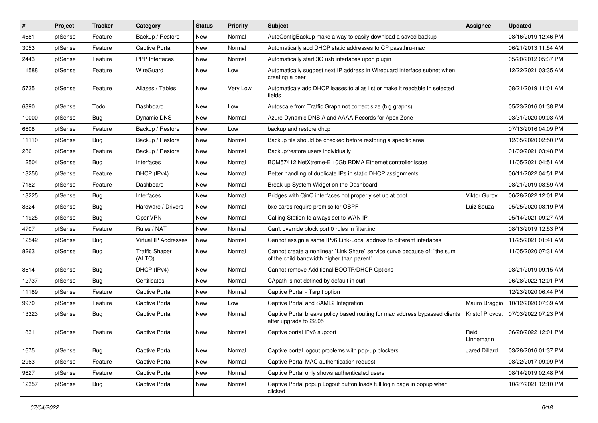| $\vert$ # | Project | <b>Tracker</b> | Category                        | <b>Status</b> | <b>Priority</b> | Subject                                                                                                                 | Assignee               | <b>Updated</b>      |
|-----------|---------|----------------|---------------------------------|---------------|-----------------|-------------------------------------------------------------------------------------------------------------------------|------------------------|---------------------|
| 4681      | pfSense | Feature        | Backup / Restore                | New           | Normal          | AutoConfigBackup make a way to easily download a saved backup                                                           |                        | 08/16/2019 12:46 PM |
| 3053      | pfSense | Feature        | <b>Captive Portal</b>           | New           | Normal          | Automatically add DHCP static addresses to CP passthru-mac                                                              |                        | 06/21/2013 11:54 AM |
| 2443      | pfSense | Feature        | PPP Interfaces                  | New           | Normal          | Automatically start 3G usb interfaces upon plugin                                                                       |                        | 05/20/2012 05:37 PM |
| 11588     | pfSense | Feature        | WireGuard                       | New           | Low             | Automatically suggest next IP address in Wireguard interface subnet when<br>creating a peer                             |                        | 12/22/2021 03:35 AM |
| 5735      | pfSense | Feature        | Aliases / Tables                | New           | Very Low        | Automaticaly add DHCP leases to alias list or make it readable in selected<br>fields                                    |                        | 08/21/2019 11:01 AM |
| 6390      | pfSense | Todo           | Dashboard                       | <b>New</b>    | Low             | Autoscale from Traffic Graph not correct size (big graphs)                                                              |                        | 05/23/2016 01:38 PM |
| 10000     | pfSense | <b>Bug</b>     | <b>Dynamic DNS</b>              | New           | Normal          | Azure Dynamic DNS A and AAAA Records for Apex Zone                                                                      |                        | 03/31/2020 09:03 AM |
| 6608      | pfSense | Feature        | Backup / Restore                | New           | Low             | backup and restore dhcp                                                                                                 |                        | 07/13/2016 04:09 PM |
| 11110     | pfSense | <b>Bug</b>     | Backup / Restore                | New           | Normal          | Backup file should be checked before restoring a specific area                                                          |                        | 12/05/2020 02:50 PM |
| 286       | pfSense | Feature        | Backup / Restore                | New           | Normal          | Backup/restore users individually                                                                                       |                        | 01/09/2021 03:48 PM |
| 12504     | pfSense | Bug            | Interfaces                      | New           | Normal          | BCM57412 NetXtreme-E 10Gb RDMA Ethernet controller issue                                                                |                        | 11/05/2021 04:51 AM |
| 13256     | pfSense | Feature        | DHCP (IPv4)                     | New           | Normal          | Better handling of duplicate IPs in static DHCP assignments                                                             |                        | 06/11/2022 04:51 PM |
| 7182      | pfSense | Feature        | Dashboard                       | New           | Normal          | Break up System Widget on the Dashboard                                                                                 |                        | 08/21/2019 08:59 AM |
| 13225     | pfSense | <b>Bug</b>     | Interfaces                      | <b>New</b>    | Normal          | Bridges with QinQ interfaces not properly set up at boot                                                                | <b>Viktor Gurov</b>    | 06/28/2022 12:01 PM |
| 8324      | pfSense | <b>Bug</b>     | Hardware / Drivers              | New           | Normal          | bxe cards require promisc for OSPF                                                                                      | Luiz Souza             | 05/25/2020 03:19 PM |
| 11925     | pfSense | <b>Bug</b>     | OpenVPN                         | New           | Normal          | Calling-Station-Id always set to WAN IP                                                                                 |                        | 05/14/2021 09:27 AM |
| 4707      | pfSense | Feature        | Rules / NAT                     | New           | Normal          | Can't override block port 0 rules in filter.inc                                                                         |                        | 08/13/2019 12:53 PM |
| 12542     | pfSense | <b>Bug</b>     | Virtual IP Addresses            | New           | Normal          | Cannot assign a same IPv6 Link-Local address to different interfaces                                                    |                        | 11/25/2021 01:41 AM |
| 8263      | pfSense | Bug            | <b>Traffic Shaper</b><br>(ALTQ) | New           | Normal          | Cannot create a nonlinear `Link Share` service curve because of: "the sum<br>of the child bandwidth higher than parent" |                        | 11/05/2020 07:31 AM |
| 8614      | pfSense | Bug            | DHCP (IPv4)                     | New           | Normal          | Cannot remove Additional BOOTP/DHCP Options                                                                             |                        | 08/21/2019 09:15 AM |
| 12737     | pfSense | <b>Bug</b>     | Certificates                    | New           | Normal          | CApath is not defined by default in curl                                                                                |                        | 06/28/2022 12:01 PM |
| 11189     | pfSense | Feature        | <b>Captive Portal</b>           | New           | Normal          | Captive Portal - Tarpit option                                                                                          |                        | 12/23/2020 06:44 PM |
| 9970      | pfSense | Feature        | <b>Captive Portal</b>           | New           | Low             | Captive Portal and SAML2 Integration                                                                                    | Mauro Braggio          | 10/12/2020 07:39 AM |
| 13323     | pfSense | <b>Bug</b>     | <b>Captive Portal</b>           | New           | Normal          | Captive Portal breaks policy based routing for mac address bypassed clients<br>after upgrade to 22.05                   | <b>Kristof Provost</b> | 07/03/2022 07:23 PM |
| 1831      | pfSense | Feature        | <b>Captive Portal</b>           | <b>New</b>    | Normal          | Captive portal IPv6 support                                                                                             | Reid<br>Linnemann      | 06/28/2022 12:01 PM |
| 1675      | pfSense | Bug            | Captive Portal                  | New           | Normal          | Captive portal logout problems with pop-up blockers.                                                                    | Jared Dillard          | 03/28/2016 01:37 PM |
| 2963      | pfSense | Feature        | Captive Portal                  | New           | Normal          | Captive Portal MAC authentication request                                                                               |                        | 08/22/2017 09:09 PM |
| 9627      | pfSense | Feature        | Captive Portal                  | New           | Normal          | Captive Portal only shows authenticated users                                                                           |                        | 08/14/2019 02:48 PM |
| 12357     | pfSense | Bug            | Captive Portal                  | New           | Normal          | Captive Portal popup Logout button loads full login page in popup when<br>clicked                                       |                        | 10/27/2021 12:10 PM |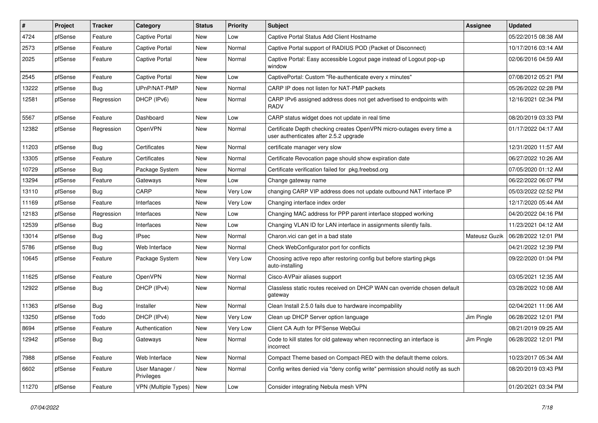| #     | Project | <b>Tracker</b> | Category                     | <b>Status</b> | Priority | <b>Subject</b>                                                                                                  | Assignee      | <b>Updated</b>      |
|-------|---------|----------------|------------------------------|---------------|----------|-----------------------------------------------------------------------------------------------------------------|---------------|---------------------|
| 4724  | pfSense | Feature        | Captive Portal               | New           | Low      | Captive Portal Status Add Client Hostname                                                                       |               | 05/22/2015 08:38 AM |
| 2573  | pfSense | Feature        | <b>Captive Portal</b>        | New           | Normal   | Captive Portal support of RADIUS POD (Packet of Disconnect)                                                     |               | 10/17/2016 03:14 AM |
| 2025  | pfSense | Feature        | <b>Captive Portal</b>        | New           | Normal   | Captive Portal: Easy accessible Logout page instead of Logout pop-up<br>window                                  |               | 02/06/2016 04:59 AM |
| 2545  | pfSense | Feature        | <b>Captive Portal</b>        | New           | Low      | CaptivePortal: Custom "Re-authenticate every x minutes"                                                         |               | 07/08/2012 05:21 PM |
| 13222 | pfSense | Bug            | UPnP/NAT-PMP                 | New           | Normal   | CARP IP does not listen for NAT-PMP packets                                                                     |               | 05/26/2022 02:28 PM |
| 12581 | pfSense | Regression     | DHCP (IPv6)                  | New           | Normal   | CARP IPv6 assigned address does not get advertised to endpoints with<br><b>RADV</b>                             |               | 12/16/2021 02:34 PM |
| 5567  | pfSense | Feature        | Dashboard                    | New           | Low      | CARP status widget does not update in real time                                                                 |               | 08/20/2019 03:33 PM |
| 12382 | pfSense | Regression     | OpenVPN                      | New           | Normal   | Certificate Depth checking creates OpenVPN micro-outages every time a<br>user authenticates after 2.5.2 upgrade |               | 01/17/2022 04:17 AM |
| 11203 | pfSense | Bug            | Certificates                 | New           | Normal   | certificate manager very slow                                                                                   |               | 12/31/2020 11:57 AM |
| 13305 | pfSense | Feature        | Certificates                 | New           | Normal   | Certificate Revocation page should show expiration date                                                         |               | 06/27/2022 10:26 AM |
| 10729 | pfSense | Bug            | Package System               | New           | Normal   | Certificate verification failed for pkg.freebsd.org                                                             |               | 07/05/2020 01:12 AM |
| 13294 | pfSense | Feature        | Gateways                     | New           | Low      | Change gateway name                                                                                             |               | 06/22/2022 06:07 PM |
| 13110 | pfSense | <b>Bug</b>     | CARP                         | New           | Very Low | changing CARP VIP address does not update outbound NAT interface IP                                             |               | 05/03/2022 02:52 PM |
| 11169 | pfSense | Feature        | Interfaces                   | New           | Very Low | Changing interface index order                                                                                  |               | 12/17/2020 05:44 AM |
| 12183 | pfSense | Regression     | Interfaces                   | New           | Low      | Changing MAC address for PPP parent interface stopped working                                                   |               | 04/20/2022 04:16 PM |
| 12539 | pfSense | <b>Bug</b>     | Interfaces                   | New           | Low      | Changing VLAN ID for LAN interface in assignments silently fails.                                               |               | 11/23/2021 04:12 AM |
| 13014 | pfSense | <b>Bug</b>     | <b>IPsec</b>                 | New           | Normal   | Charon.vici can get in a bad state                                                                              | Mateusz Guzik | 06/28/2022 12:01 PM |
| 5786  | pfSense | <b>Bug</b>     | Web Interface                | New           | Normal   | Check WebConfigurator port for conflicts                                                                        |               | 04/21/2022 12:39 PM |
| 10645 | pfSense | Feature        | Package System               | New           | Very Low | Choosing active repo after restoring config but before starting pkgs<br>auto-installing                         |               | 09/22/2020 01:04 PM |
| 11625 | pfSense | Feature        | <b>OpenVPN</b>               | New           | Normal   | Cisco-AVPair aliases support                                                                                    |               | 03/05/2021 12:35 AM |
| 12922 | pfSense | Bug            | DHCP (IPv4)                  | New           | Normal   | Classless static routes received on DHCP WAN can override chosen default<br>gateway                             |               | 03/28/2022 10:08 AM |
| 11363 | pfSense | <b>Bug</b>     | Installer                    | New           | Normal   | Clean Install 2.5.0 fails due to hardware incompability                                                         |               | 02/04/2021 11:06 AM |
| 13250 | pfSense | Todo           | DHCP (IPv4)                  | New           | Very Low | Clean up DHCP Server option language                                                                            | Jim Pingle    | 06/28/2022 12:01 PM |
| 8694  | pfSense | Feature        | Authentication               | New           | Very Low | Client CA Auth for PFSense WebGui                                                                               |               | 08/21/2019 09:25 AM |
| 12942 | pfSense | Bug            | Gateways                     | New           | Normal   | Code to kill states for old gateway when reconnecting an interface is<br>incorrect                              | Jim Pingle    | 06/28/2022 12:01 PM |
| 7988  | pfSense | Feature        | Web Interface                | New           | Normal   | Compact Theme based on Compact-RED with the default theme colors.                                               |               | 10/23/2017 05:34 AM |
| 6602  | pfSense | Feature        | User Manager /<br>Privileges | New           | Normal   | Config writes denied via "deny config write" permission should notify as such                                   |               | 08/20/2019 03:43 PM |
| 11270 | pfSense | Feature        | VPN (Multiple Types)         | New           | Low      | Consider integrating Nebula mesh VPN                                                                            |               | 01/20/2021 03:34 PM |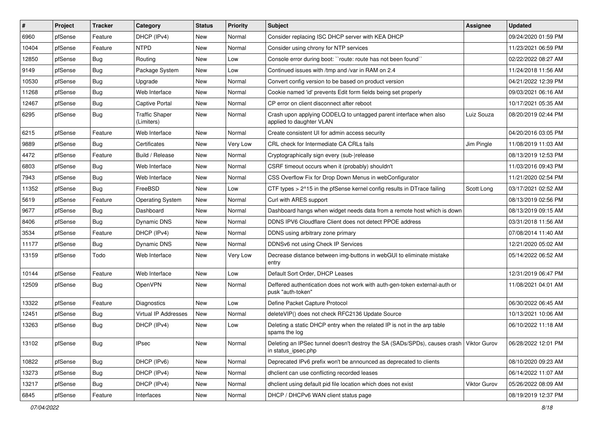| $\vert$ # | Project | <b>Tracker</b> | Category                            | <b>Status</b> | <b>Priority</b> | Subject                                                                                          | Assignee     | <b>Updated</b>      |
|-----------|---------|----------------|-------------------------------------|---------------|-----------------|--------------------------------------------------------------------------------------------------|--------------|---------------------|
| 6960      | pfSense | Feature        | DHCP (IPv4)                         | New           | Normal          | Consider replacing ISC DHCP server with KEA DHCP                                                 |              | 09/24/2020 01:59 PM |
| 10404     | pfSense | Feature        | <b>NTPD</b>                         | New           | Normal          | Consider using chrony for NTP services                                                           |              | 11/23/2021 06:59 PM |
| 12850     | pfSense | <b>Bug</b>     | Routing                             | New           | Low             | Console error during boot: "route: route has not been found"                                     |              | 02/22/2022 08:27 AM |
| 9149      | pfSense | <b>Bug</b>     | Package System                      | New           | Low             | Continued issues with /tmp and /var in RAM on 2.4                                                |              | 11/24/2018 11:56 AM |
| 10530     | pfSense | Bug            | Upgrade                             | <b>New</b>    | Normal          | Convert config version to be based on product version                                            |              | 04/21/2022 12:39 PM |
| 11268     | pfSense | <b>Bug</b>     | Web Interface                       | New           | Normal          | Cookie named 'id' prevents Edit form fields being set properly                                   |              | 09/03/2021 06:16 AM |
| 12467     | pfSense | <b>Bug</b>     | <b>Captive Portal</b>               | New           | Normal          | CP error on client disconnect after reboot                                                       |              | 10/17/2021 05:35 AM |
| 6295      | pfSense | <b>Bug</b>     | <b>Traffic Shaper</b><br>(Limiters) | New           | Normal          | Crash upon applying CODELQ to untagged parent interface when also<br>applied to daughter VLAN    | Luiz Souza   | 08/20/2019 02:44 PM |
| 6215      | pfSense | Feature        | Web Interface                       | <b>New</b>    | Normal          | Create consistent UI for admin access security                                                   |              | 04/20/2016 03:05 PM |
| 9889      | pfSense | <b>Bug</b>     | Certificates                        | New           | Very Low        | CRL check for Intermediate CA CRLs fails                                                         | Jim Pingle   | 11/08/2019 11:03 AM |
| 4472      | pfSense | Feature        | Build / Release                     | New           | Normal          | Cryptographically sign every (sub-)release                                                       |              | 08/13/2019 12:53 PM |
| 6803      | pfSense | Bug            | Web Interface                       | New           | Normal          | CSRF timeout occurs when it (probably) shouldn't                                                 |              | 11/03/2016 09:43 PM |
| 7943      | pfSense | Bug            | Web Interface                       | New           | Normal          | CSS Overflow Fix for Drop Down Menus in webConfigurator                                          |              | 11/21/2020 02:54 PM |
| 11352     | pfSense | Bug            | FreeBSD                             | New           | Low             | CTF types > 2^15 in the pfSense kernel config results in DTrace failing                          | Scott Long   | 03/17/2021 02:52 AM |
| 5619      | pfSense | Feature        | <b>Operating System</b>             | New           | Normal          | Curl with ARES support                                                                           |              | 08/13/2019 02:56 PM |
| 9677      | pfSense | <b>Bug</b>     | Dashboard                           | New           | Normal          | Dashboard hangs when widget needs data from a remote host which is down                          |              | 08/13/2019 09:15 AM |
| 8406      | pfSense | Bug            | <b>Dynamic DNS</b>                  | <b>New</b>    | Normal          | DDNS IPV6 Cloudflare Client does not detect PPOE address                                         |              | 03/31/2018 11:56 AM |
| 3534      | pfSense | Feature        | DHCP (IPv4)                         | New           | Normal          | DDNS using arbitrary zone primary                                                                |              | 07/08/2014 11:40 AM |
| 11177     | pfSense | <b>Bug</b>     | <b>Dynamic DNS</b>                  | New           | Normal          | DDNSv6 not using Check IP Services                                                               |              | 12/21/2020 05:02 AM |
| 13159     | pfSense | Todo           | Web Interface                       | New           | Very Low        | Decrease distance between img-buttons in webGUI to eliminate mistake<br>entry                    |              | 05/14/2022 06:52 AM |
| 10144     | pfSense | Feature        | Web Interface                       | <b>New</b>    | Low             | Default Sort Order, DHCP Leases                                                                  |              | 12/31/2019 06:47 PM |
| 12509     | pfSense | <b>Bug</b>     | OpenVPN                             | New           | Normal          | Deffered authentication does not work with auth-gen-token external-auth or<br>pusk "auth-token"  |              | 11/08/2021 04:01 AM |
| 13322     | pfSense | Feature        | Diagnostics                         | <b>New</b>    | Low             | Define Packet Capture Protocol                                                                   |              | 06/30/2022 06:45 AM |
| 12451     | pfSense | <b>Bug</b>     | Virtual IP Addresses                | New           | Normal          | deleteVIP() does not check RFC2136 Update Source                                                 |              | 10/13/2021 10:06 AM |
| 13263     | pfSense | <b>Bug</b>     | DHCP (IPv4)                         | New           | Low             | Deleting a static DHCP entry when the related IP is not in the arp table<br>spams the log        |              | 06/10/2022 11:18 AM |
| 13102     | pfSense | <b>Bug</b>     | <b>IPsec</b>                        | New           | Normal          | Deleting an IPSec tunnel doesn't destroy the SA (SADs/SPDs), causes crash<br>in status_ipsec.php | Viktor Gurov | 06/28/2022 12:01 PM |
| 10822     | pfSense | <b>Bug</b>     | DHCP (IPv6)                         | New           | Normal          | Deprecated IPv6 prefix won't be announced as deprecated to clients                               |              | 08/10/2020 09:23 AM |
| 13273     | pfSense | <b>Bug</b>     | DHCP (IPv4)                         | New           | Normal          | dhclient can use conflicting recorded leases                                                     |              | 06/14/2022 11:07 AM |
| 13217     | pfSense | <b>Bug</b>     | DHCP (IPv4)                         | New           | Normal          | dhclient using default pid file location which does not exist                                    | Viktor Gurov | 05/26/2022 08:09 AM |
| 6845      | pfSense | Feature        | Interfaces                          | New           | Normal          | DHCP / DHCPv6 WAN client status page                                                             |              | 08/19/2019 12:37 PM |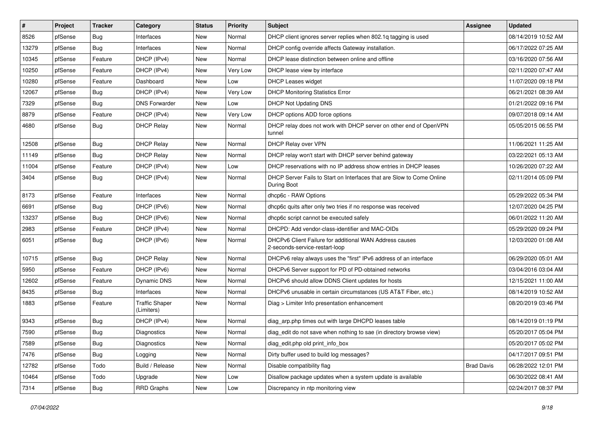| $\pmb{\#}$ | Project | <b>Tracker</b> | Category                            | <b>Status</b> | <b>Priority</b> | <b>Subject</b>                                                                            | Assignee          | <b>Updated</b>      |
|------------|---------|----------------|-------------------------------------|---------------|-----------------|-------------------------------------------------------------------------------------------|-------------------|---------------------|
| 8526       | pfSense | Bug            | Interfaces                          | New           | Normal          | DHCP client ignores server replies when 802.1q tagging is used                            |                   | 08/14/2019 10:52 AM |
| 13279      | pfSense | Bug            | Interfaces                          | New           | Normal          | DHCP config override affects Gateway installation.                                        |                   | 06/17/2022 07:25 AM |
| 10345      | pfSense | Feature        | DHCP (IPv4)                         | New           | Normal          | DHCP lease distinction between online and offline                                         |                   | 03/16/2020 07:56 AM |
| 10250      | pfSense | Feature        | DHCP (IPv4)                         | <b>New</b>    | Very Low        | DHCP lease view by interface                                                              |                   | 02/11/2020 07:47 AM |
| 10280      | pfSense | Feature        | Dashboard                           | New           | Low             | <b>DHCP Leases widget</b>                                                                 |                   | 11/07/2020 09:18 PM |
| 12067      | pfSense | <b>Bug</b>     | DHCP (IPv4)                         | New           | Very Low        | <b>DHCP Monitoring Statistics Error</b>                                                   |                   | 06/21/2021 08:39 AM |
| 7329       | pfSense | Bug            | <b>DNS Forwarder</b>                | New           | Low             | <b>DHCP Not Updating DNS</b>                                                              |                   | 01/21/2022 09:16 PM |
| 8879       | pfSense | Feature        | DHCP (IPv4)                         | New           | Very Low        | DHCP options ADD force options                                                            |                   | 09/07/2018 09:14 AM |
| 4680       | pfSense | Bug            | <b>DHCP Relay</b>                   | New           | Normal          | DHCP relay does not work with DHCP server on other end of OpenVPN<br>tunnel               |                   | 05/05/2015 06:55 PM |
| 12508      | pfSense | Bug            | <b>DHCP Relay</b>                   | New           | Normal          | DHCP Relay over VPN                                                                       |                   | 11/06/2021 11:25 AM |
| 11149      | pfSense | <b>Bug</b>     | <b>DHCP Relay</b>                   | New           | Normal          | DHCP relay won't start with DHCP server behind gateway                                    |                   | 03/22/2021 05:13 AM |
| 11004      | pfSense | Feature        | DHCP (IPv4)                         | New           | Low             | DHCP reservations with no IP address show entries in DHCP leases                          |                   | 10/26/2020 07:22 AM |
| 3404       | pfSense | Bug            | DHCP (IPv4)                         | New           | Normal          | DHCP Server Fails to Start on Interfaces that are Slow to Come Online<br>During Boot      |                   | 02/11/2014 05:09 PM |
| 8173       | pfSense | Feature        | Interfaces                          | New           | Normal          | dhcp6c - RAW Options                                                                      |                   | 05/29/2022 05:34 PM |
| 6691       | pfSense | Bug            | DHCP (IPv6)                         | New           | Normal          | dhcp6c quits after only two tries if no response was received                             |                   | 12/07/2020 04:25 PM |
| 13237      | pfSense | Bug            | DHCP (IPv6)                         | New           | Normal          | dhcp6c script cannot be executed safely                                                   |                   | 06/01/2022 11:20 AM |
| 2983       | pfSense | Feature        | DHCP (IPv4)                         | New           | Normal          | DHCPD: Add vendor-class-identifier and MAC-OIDs                                           |                   | 05/29/2020 09:24 PM |
| 6051       | pfSense | Bug            | DHCP (IPv6)                         | New           | Normal          | DHCPv6 Client Failure for additional WAN Address causes<br>2-seconds-service-restart-loop |                   | 12/03/2020 01:08 AM |
| 10715      | pfSense | Bug            | <b>DHCP Relay</b>                   | New           | Normal          | DHCPv6 relay always uses the "first" IPv6 address of an interface                         |                   | 06/29/2020 05:01 AM |
| 5950       | pfSense | Feature        | DHCP (IPv6)                         | New           | Normal          | DHCPv6 Server support for PD of PD-obtained networks                                      |                   | 03/04/2016 03:04 AM |
| 12602      | pfSense | Feature        | Dynamic DNS                         | New           | Normal          | DHCPv6 should allow DDNS Client updates for hosts                                         |                   | 12/15/2021 11:00 AM |
| 8435       | pfSense | <b>Bug</b>     | Interfaces                          | New           | Normal          | DHCPv6 unusable in certain circumstances (US AT&T Fiber, etc.)                            |                   | 08/14/2019 10:52 AM |
| 1883       | pfSense | Feature        | <b>Traffic Shaper</b><br>(Limiters) | New           | Normal          | Diag > Limiter Info presentation enhancement                                              |                   | 08/20/2019 03:46 PM |
| 9343       | pfSense | Bug            | DHCP (IPv4)                         | New           | Normal          | diag_arp.php times out with large DHCPD leases table                                      |                   | 08/14/2019 01:19 PM |
| 7590       | pfSense | Bug            | <b>Diagnostics</b>                  | New           | Normal          | diag_edit do not save when nothing to sae (in directory browse view)                      |                   | 05/20/2017 05:04 PM |
| 7589       | pfSense | <b>Bug</b>     | Diagnostics                         | New           | Normal          | diag_edit.php old print_info_box                                                          |                   | 05/20/2017 05:02 PM |
| 7476       | pfSense | <b>Bug</b>     | Logging                             | New           | Normal          | Dirty buffer used to build log messages?                                                  |                   | 04/17/2017 09:51 PM |
| 12782      | pfSense | Todo           | Build / Release                     | New           | Normal          | Disable compatibility flag                                                                | <b>Brad Davis</b> | 06/28/2022 12:01 PM |
| 10464      | pfSense | Todo           | Upgrade                             | New           | Low             | Disallow package updates when a system update is available                                |                   | 06/30/2022 08:41 AM |
| 7314       | pfSense | <b>Bug</b>     | <b>RRD Graphs</b>                   | New           | Low             | Discrepancy in ntp monitoring view                                                        |                   | 02/24/2017 08:37 PM |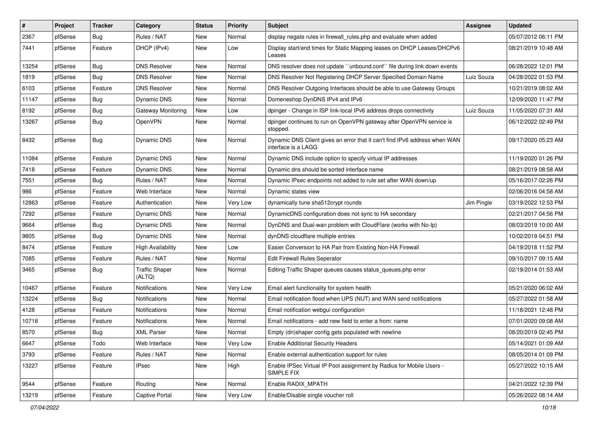| #     | Project | <b>Tracker</b> | Category                        | <b>Status</b> | <b>Priority</b> | Subject                                                                                           | Assignee   | <b>Updated</b>      |
|-------|---------|----------------|---------------------------------|---------------|-----------------|---------------------------------------------------------------------------------------------------|------------|---------------------|
| 2367  | pfSense | Bug            | Rules / NAT                     | New           | Normal          | display negate rules in firewall_rules.php and evaluate when added                                |            | 05/07/2012 06:11 PM |
| 7441  | pfSense | Feature        | DHCP (IPv4)                     | New           | Low             | Display start/end times for Static Mapping leases on DHCP Leases/DHCPv6<br>Leases                 |            | 08/21/2019 10:48 AM |
| 13254 | pfSense | Bug            | <b>DNS Resolver</b>             | New           | Normal          | DNS resolver does not update "unbound.conf" file during link down events                          |            | 06/28/2022 12:01 PM |
| 1819  | pfSense | <b>Bug</b>     | <b>DNS Resolver</b>             | New           | Normal          | DNS Resolver Not Registering DHCP Server Specified Domain Name                                    | Luiz Souza | 04/28/2022 01:53 PM |
| 6103  | pfSense | Feature        | <b>DNS Resolver</b>             | New           | Normal          | DNS Resolver Outgoing Interfaces should be able to use Gateway Groups                             |            | 10/21/2019 08:02 AM |
| 11147 | pfSense | <b>Bug</b>     | Dynamic DNS                     | New           | Normal          | Domeneshop DynDNS IPv4 and IPv6                                                                   |            | 12/09/2020 11:47 PM |
| 8192  | pfSense | Bug            | Gateway Monitoring              | <b>New</b>    | Low             | dpinger - Change in ISP link-local IPv6 address drops connectivity                                | Luiz Souza | 11/05/2020 07:31 AM |
| 13267 | pfSense | Bug            | OpenVPN                         | New           | Normal          | dpinger continues to run on OpenVPN gateway after OpenVPN service is<br>stopped.                  |            | 06/12/2022 02:49 PM |
| 8432  | pfSense | <b>Bug</b>     | <b>Dynamic DNS</b>              | New           | Normal          | Dynamic DNS Client gives an error that it can't find IPv6 address when WAN<br>interface is a LAGG |            | 09/17/2020 05:23 AM |
| 11084 | pfSense | Feature        | <b>Dynamic DNS</b>              | New           | Normal          | Dynamic DNS include option to specify virtual IP addresses                                        |            | 11/19/2020 01:26 PM |
| 7418  | pfSense | Feature        | Dynamic DNS                     | New           | Normal          | Dynamic dns should be sorted interface name                                                       |            | 08/21/2019 08:58 AM |
| 7551  | pfSense | Bug            | Rules / NAT                     | New           | Normal          | Dynamic IPsec endpoints not added to rule set after WAN down/up                                   |            | 05/16/2017 02:26 PM |
| 986   | pfSense | Feature        | Web Interface                   | New           | Normal          | Dynamic states view                                                                               |            | 02/06/2016 04:58 AM |
| 12863 | pfSense | Feature        | Authentication                  | New           | Very Low        | dynamically tune sha512crypt rounds                                                               | Jim Pingle | 03/19/2022 12:53 PM |
| 7292  | pfSense | Feature        | <b>Dynamic DNS</b>              | New           | Normal          | DynamicDNS configuration does not sync to HA secondary                                            |            | 02/21/2017 04:56 PM |
| 9664  | pfSense | <b>Bug</b>     | <b>Dynamic DNS</b>              | New           | Normal          | DynDNS and Dual-wan problem with CloudFlare (works with No-Ip)                                    |            | 08/03/2019 10:00 AM |
| 9805  | pfSense | Bug            | <b>Dynamic DNS</b>              | New           | Normal          | dynDNS cloudflare multiple entries                                                                |            | 10/02/2019 04:51 PM |
| 8474  | pfSense | Feature        | <b>High Availability</b>        | New           | Low             | Easier Conversion to HA Pair from Existing Non-HA Firewall                                        |            | 04/19/2018 11:52 PM |
| 7085  | pfSense | Feature        | Rules / NAT                     | New           | Normal          | <b>Edit Firewall Rules Seperator</b>                                                              |            | 09/10/2017 09:15 AM |
| 3465  | pfSense | Bug            | <b>Traffic Shaper</b><br>(ALTQ) | New           | Normal          | Editing Traffic Shaper queues causes status_queues.php error                                      |            | 02/19/2014 01:53 AM |
| 10467 | pfSense | Feature        | Notifications                   | New           | Very Low        | Email alert functionality for system health                                                       |            | 05/21/2020 06:02 AM |
| 13224 | pfSense | <b>Bug</b>     | Notifications                   | New           | Normal          | Email notification flood when UPS (NUT) and WAN send notifications                                |            | 05/27/2022 01:58 AM |
| 4128  | pfSense | Feature        | Notifications                   | New           | Normal          | Email notification webqui configuration                                                           |            | 11/18/2021 12:48 PM |
| 10718 | pfSense | Feature        | Notifications                   | New           | Normal          | Email notifications - add new field to enter a from: name                                         |            | 07/01/2020 09:08 AM |
| 8570  | pfSense | Bug            | <b>XML Parser</b>               | New           | Normal          | Empty (dn)shaper config gets populated with newline                                               |            | 08/20/2019 02:45 PM |
| 6647  | pfSense | Todo           | Web Interface                   | New           | Very Low        | <b>Enable Additional Security Headers</b>                                                         |            | 05/14/2021 01:09 AM |
| 3793  | pfSense | Feature        | Rules / NAT                     | New           | Normal          | Enable external authentication support for rules                                                  |            | 08/05/2014 01:09 PM |
| 13227 | pfSense | Feature        | <b>IPsec</b>                    | New           | High            | Enable IPSec Virtual IP Pool assignment by Radius for Mobile Users -<br>SIMPLE FIX                |            | 05/27/2022 10:15 AM |
| 9544  | pfSense | Feature        | Routing                         | New           | Normal          | Enable RADIX_MPATH                                                                                |            | 04/21/2022 12:39 PM |
| 13219 | pfSense | Feature        | Captive Portal                  | New           | Very Low        | Enable/Disable single voucher roll                                                                |            | 05/26/2022 08:14 AM |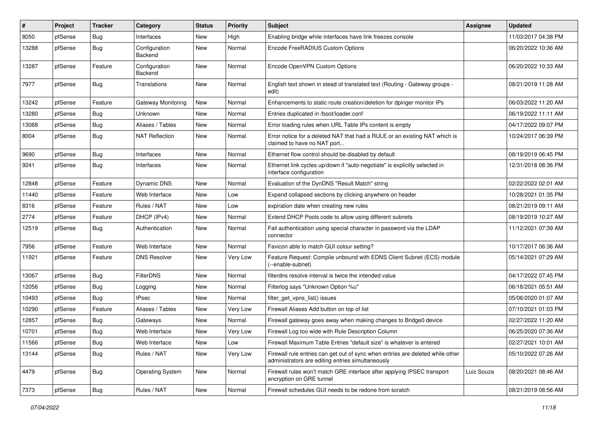| #     | Project | <b>Tracker</b> | Category                 | <b>Status</b> | <b>Priority</b> | <b>Subject</b>                                                                                                                      | Assignee   | <b>Updated</b>      |
|-------|---------|----------------|--------------------------|---------------|-----------------|-------------------------------------------------------------------------------------------------------------------------------------|------------|---------------------|
| 8050  | pfSense | Bug            | Interfaces               | New           | High            | Enabling bridge while interfaces have link freezes console                                                                          |            | 11/03/2017 04:38 PM |
| 13288 | pfSense | <b>Bug</b>     | Configuration<br>Backend | New           | Normal          | Encode FreeRADIUS Custom Options                                                                                                    |            | 06/20/2022 10:36 AM |
| 13287 | pfSense | Feature        | Configuration<br>Backend | New           | Normal          | Encode OpenVPN Custom Options                                                                                                       |            | 06/20/2022 10:33 AM |
| 7977  | pfSense | Bug            | Translations             | New           | Normal          | English text shown in stead of translated text (Routing - Gateway groups -<br>edit)                                                 |            | 08/21/2019 11:28 AM |
| 13242 | pfSense | Feature        | Gateway Monitoring       | New           | Normal          | Enhancements to static route creation/deletion for dpinger monitor IPs                                                              |            | 06/03/2022 11:20 AM |
| 13280 | pfSense | <b>Bug</b>     | Unknown                  | New           | Normal          | Entries duplicated in /boot/loader.conf                                                                                             |            | 06/19/2022 11:11 AM |
| 13068 | pfSense | <b>Bug</b>     | Aliases / Tables         | New           | Normal          | Error loading rules when URL Table IPs content is empty                                                                             |            | 04/17/2022 09:07 PM |
| 8004  | pfSense | Bug            | <b>NAT Reflection</b>    | New           | Normal          | Error notice for a deleted NAT that had a RULE or an existing NAT which is<br>claimed to have no NAT port                           |            | 10/24/2017 06:39 PM |
| 9690  | pfSense | <b>Bug</b>     | Interfaces               | New           | Normal          | Ethernet flow control should be disabled by default                                                                                 |            | 08/19/2019 06:45 PM |
| 9241  | pfSense | Bug            | Interfaces               | New           | Normal          | Ethernet link cycles up/down if "auto-negotiate" is explicitly selected in<br>interface configuration                               |            | 12/31/2018 08:36 PM |
| 12848 | pfSense | Feature        | <b>Dynamic DNS</b>       | New           | Normal          | Evaluation of the DynDNS "Result Match" string                                                                                      |            | 02/22/2022 02:01 AM |
| 11440 | pfSense | Feature        | Web Interface            | New           | Low             | Expand collapsed sections by clicking anywhere on header                                                                            |            | 10/28/2021 01:35 PM |
| 8316  | pfSense | Feature        | Rules / NAT              | New           | Low             | expiration date when creating new rules                                                                                             |            | 08/21/2019 09:11 AM |
| 2774  | pfSense | Feature        | DHCP (IPv4)              | New           | Normal          | Extend DHCP Pools code to allow using different subnets                                                                             |            | 08/19/2019 10:27 AM |
| 12519 | pfSense | Bug            | Authentication           | New           | Normal          | Fail authentication using special character in password via the LDAP<br>connector                                                   |            | 11/12/2021 07:39 AM |
| 7956  | pfSense | Feature        | Web Interface            | New           | Normal          | Favicon able to match GUI colour setting?                                                                                           |            | 10/17/2017 06:36 AM |
| 11921 | pfSense | Feature        | <b>DNS Resolver</b>      | New           | Very Low        | Feature Request: Compile unbound with EDNS Client Subnet (ECS) module<br>(--enable-subnet)                                          |            | 05/14/2021 07:29 AM |
| 13067 | pfSense | <b>Bug</b>     | FilterDNS                | New           | Normal          | filterdns resolve interval is twice the intended value                                                                              |            | 04/17/2022 07:45 PM |
| 12056 | pfSense | <b>Bug</b>     | Logging                  | New           | Normal          | Filterlog says "Unknown Option %u"                                                                                                  |            | 06/18/2021 05:51 AM |
| 10493 | pfSense | Bug            | <b>IPsec</b>             | New           | Normal          | filter_get_vpns_list() issues                                                                                                       |            | 05/06/2020 01:07 AM |
| 10290 | pfSense | Feature        | Aliases / Tables         | New           | Very Low        | Firewall Aliases Add button on top of list                                                                                          |            | 07/10/2021 01:03 PM |
| 12857 | pfSense | <b>Bug</b>     | Gateways                 | New           | Normal          | Firewall gateway goes away when making changes to Bridge0 device                                                                    |            | 02/27/2022 11:20 AM |
| 10701 | pfSense | Bug            | Web Interface            | New           | Very Low        | Firewall Log too wide with Rule Description Column                                                                                  |            | 06/25/2020 07:36 AM |
| 11566 | pfSense | Bug            | Web Interface            | New           | Low             | Firewall Maximum Table Entries "default size" is whatever is entered                                                                |            | 02/27/2021 10:01 AM |
| 13144 | pfSense | <b>Bug</b>     | Rules / NAT              | New           | Very Low        | Firewall rule entries can get out of sync when entries are deleted while other<br>administrators are editing entries simultaneously |            | 05/10/2022 07:26 AM |
| 4479  | pfSense | Bug            | <b>Operating System</b>  | New           | Normal          | Firewall rules won't match GRE interface after applying IPSEC transport<br>encryption on GRE tunnel                                 | Luiz Souza | 08/20/2021 08:46 AM |
| 7373  | pfSense | <b>Bug</b>     | Rules / NAT              | New           | Normal          | Firewall schedules GUI needs to be redone from scratch                                                                              |            | 08/21/2019 08:56 AM |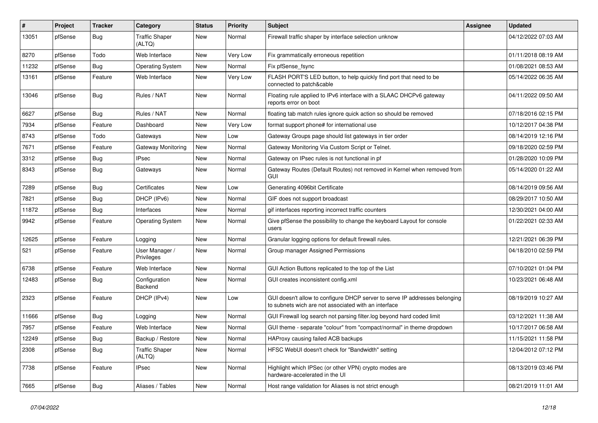| #     | Project | <b>Tracker</b> | Category                        | <b>Status</b> | <b>Priority</b> | <b>Subject</b>                                                                                                                     | Assignee | <b>Updated</b>      |
|-------|---------|----------------|---------------------------------|---------------|-----------------|------------------------------------------------------------------------------------------------------------------------------------|----------|---------------------|
| 13051 | pfSense | <b>Bug</b>     | <b>Traffic Shaper</b><br>(ALTQ) | New           | Normal          | Firewall traffic shaper by interface selection unknow                                                                              |          | 04/12/2022 07:03 AM |
| 8270  | pfSense | Todo           | Web Interface                   | New           | Very Low        | Fix grammatically erroneous repetition                                                                                             |          | 01/11/2018 08:19 AM |
| 11232 | pfSense | Bug            | <b>Operating System</b>         | New           | Normal          | Fix pfSense fsync                                                                                                                  |          | 01/08/2021 08:53 AM |
| 13161 | pfSense | Feature        | Web Interface                   | New           | Very Low        | FLASH PORT'S LED button, to help quickly find port that need to be<br>connected to patch&cable                                     |          | 05/14/2022 06:35 AM |
| 13046 | pfSense | <b>Bug</b>     | Rules / NAT                     | New           | Normal          | Floating rule applied to IPv6 interface with a SLAAC DHCPv6 gateway<br>reports error on boot                                       |          | 04/11/2022 09:50 AM |
| 6627  | pfSense | Bug            | Rules / NAT                     | New           | Normal          | floating tab match rules ignore quick action so should be removed                                                                  |          | 07/18/2016 02:15 PM |
| 7934  | pfSense | Feature        | Dashboard                       | New           | Very Low        | format support phone# for international use                                                                                        |          | 10/12/2017 04:38 PM |
| 8743  | pfSense | Todo           | Gateways                        | New           | Low             | Gateway Groups page should list gateways in tier order                                                                             |          | 08/14/2019 12:16 PM |
| 7671  | pfSense | Feature        | Gateway Monitoring              | New           | Normal          | Gateway Monitoring Via Custom Script or Telnet.                                                                                    |          | 09/18/2020 02:59 PM |
| 3312  | pfSense | Bug            | <b>IPsec</b>                    | New           | Normal          | Gateway on IPsec rules is not functional in pf                                                                                     |          | 01/28/2020 10:09 PM |
| 8343  | pfSense | <b>Bug</b>     | Gateways                        | New           | Normal          | Gateway Routes (Default Routes) not removed in Kernel when removed from<br><b>GUI</b>                                              |          | 05/14/2020 01:22 AM |
| 7289  | pfSense | <b>Bug</b>     | Certificates                    | New           | Low             | Generating 4096bit Certificate                                                                                                     |          | 08/14/2019 09:56 AM |
| 7821  | pfSense | <b>Bug</b>     | DHCP (IPv6)                     | New           | Normal          | GIF does not support broadcast                                                                                                     |          | 08/29/2017 10:50 AM |
| 11872 | pfSense | Bug            | Interfaces                      | New           | Normal          | gif interfaces reporting incorrect traffic counters                                                                                |          | 12/30/2021 04:00 AM |
| 9942  | pfSense | Feature        | <b>Operating System</b>         | New           | Normal          | Give pfSense the possibility to change the keyboard Layout for console<br>users                                                    |          | 01/22/2021 02:33 AM |
| 12625 | pfSense | Feature        | Logging                         | New           | Normal          | Granular logging options for default firewall rules.                                                                               |          | 12/21/2021 06:39 PM |
| 521   | pfSense | Feature        | User Manager /<br>Privileges    | New           | Normal          | Group manager Assigned Permissions                                                                                                 |          | 04/18/2010 02:59 PM |
| 6738  | pfSense | Feature        | Web Interface                   | New           | Normal          | GUI Action Buttons replicated to the top of the List                                                                               |          | 07/10/2021 01:04 PM |
| 12483 | pfSense | <b>Bug</b>     | Configuration<br>Backend        | New           | Normal          | GUI creates inconsistent config.xml                                                                                                |          | 10/23/2021 06:48 AM |
| 2323  | pfSense | Feature        | DHCP (IPv4)                     | New           | Low             | GUI doesn't allow to configure DHCP server to serve IP addresses belonging<br>to subnets wich are not associated with an interface |          | 08/19/2019 10:27 AM |
| 11666 | pfSense | Bug            | Logging                         | New           | Normal          | GUI Firewall log search not parsing filter.log beyond hard coded limit                                                             |          | 03/12/2021 11:38 AM |
| 7957  | pfSense | Feature        | Web Interface                   | New           | Normal          | GUI theme - separate "colour" from "compact/normal" in theme dropdown                                                              |          | 10/17/2017 06:58 AM |
| 12249 | pfSense | <b>Bug</b>     | Backup / Restore                | New           | Normal          | HAProxy causing failed ACB backups                                                                                                 |          | 11/15/2021 11:58 PM |
| 2308  | pfSense | Bug            | <b>Traffic Shaper</b><br>(ALTQ) | New           | Normal          | HFSC WebUI doesn't check for "Bandwidth" setting                                                                                   |          | 12/04/2012 07:12 PM |
| 7738  | pfSense | Feature        | <b>IPsec</b>                    | New           | Normal          | Highlight which IPSec (or other VPN) crypto modes are<br>hardware-accelerated in the UI                                            |          | 08/13/2019 03:46 PM |
| 7665  | pfSense | <b>Bug</b>     | Aliases / Tables                | New           | Normal          | Host range validation for Aliases is not strict enough                                                                             |          | 08/21/2019 11:01 AM |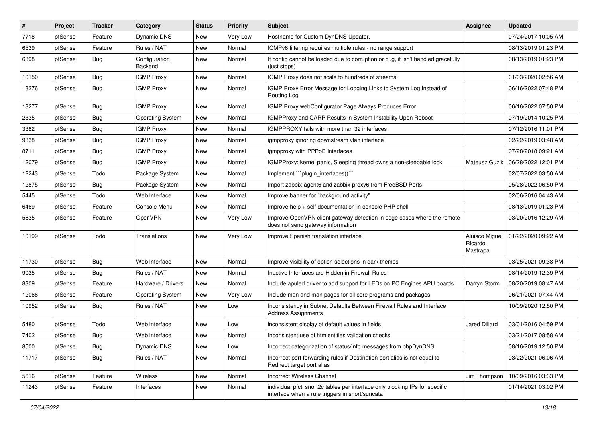| $\vert$ # | Project | <b>Tracker</b> | Category                 | <b>Status</b> | <b>Priority</b> | <b>Subject</b>                                                                                                                   | Assignee                              | <b>Updated</b>      |
|-----------|---------|----------------|--------------------------|---------------|-----------------|----------------------------------------------------------------------------------------------------------------------------------|---------------------------------------|---------------------|
| 7718      | pfSense | Feature        | <b>Dynamic DNS</b>       | New           | Very Low        | Hostname for Custom DynDNS Updater.                                                                                              |                                       | 07/24/2017 10:05 AM |
| 6539      | pfSense | Feature        | Rules / NAT              | New           | Normal          | ICMPv6 filtering requires multiple rules - no range support                                                                      |                                       | 08/13/2019 01:23 PM |
| 6398      | pfSense | Bug            | Configuration<br>Backend | <b>New</b>    | Normal          | If config cannot be loaded due to corruption or bug, it isn't handled gracefully<br>(just stops)                                 |                                       | 08/13/2019 01:23 PM |
| 10150     | pfSense | Bug            | <b>IGMP Proxy</b>        | New           | Normal          | IGMP Proxy does not scale to hundreds of streams                                                                                 |                                       | 01/03/2020 02:56 AM |
| 13276     | pfSense | Bug            | <b>IGMP Proxy</b>        | New           | Normal          | IGMP Proxy Error Message for Logging Links to System Log Instead of<br>Routing Log                                               |                                       | 06/16/2022 07:48 PM |
| 13277     | pfSense | Bug            | <b>IGMP Proxy</b>        | <b>New</b>    | Normal          | IGMP Proxy webConfigurator Page Always Produces Error                                                                            |                                       | 06/16/2022 07:50 PM |
| 2335      | pfSense | <b>Bug</b>     | <b>Operating System</b>  | New           | Normal          | IGMPProxy and CARP Results in System Instability Upon Reboot                                                                     |                                       | 07/19/2014 10:25 PM |
| 3382      | pfSense | Bug            | <b>IGMP Proxy</b>        | New           | Normal          | IGMPPROXY fails with more than 32 interfaces                                                                                     |                                       | 07/12/2016 11:01 PM |
| 9338      | pfSense | <b>Bug</b>     | <b>IGMP Proxy</b>        | New           | Normal          | igmpproxy ignoring downstream vlan interface                                                                                     |                                       | 02/22/2019 03:48 AM |
| 8711      | pfSense | Bug            | <b>IGMP Proxy</b>        | New           | Normal          | igmpproxy with PPPoE Interfaces                                                                                                  |                                       | 07/28/2018 09:21 AM |
| 12079     | pfSense | <b>Bug</b>     | <b>IGMP Proxy</b>        | <b>New</b>    | Normal          | IGMPProxy: kernel panic, Sleeping thread owns a non-sleepable lock                                                               | Mateusz Guzik                         | 06/28/2022 12:01 PM |
| 12243     | pfSense | Todo           | Package System           | New           | Normal          | Implement "`plugin_interfaces()`"                                                                                                |                                       | 02/07/2022 03:50 AM |
| 12875     | pfSense | Bug            | Package System           | New           | Normal          | Import zabbix-agent6 and zabbix-proxy6 from FreeBSD Ports                                                                        |                                       | 05/28/2022 06:50 PM |
| 5445      | pfSense | Todo           | Web Interface            | New           | Normal          | Improve banner for "background activity"                                                                                         |                                       | 02/06/2016 04:43 AM |
| 6469      | pfSense | Feature        | Console Menu             | New           | Normal          | Improve help + self documentation in console PHP shell                                                                           |                                       | 08/13/2019 01:23 PM |
| 5835      | pfSense | Feature        | OpenVPN                  | New           | Very Low        | Improve OpenVPN client gateway detection in edge cases where the remote<br>does not send gateway information                     |                                       | 03/20/2016 12:29 AM |
| 10199     | pfSense | Todo           | Translations             | New           | Very Low        | Improve Spanish translation interface                                                                                            | Aluisco Miguel<br>Ricardo<br>Mastrapa | 01/22/2020 09:22 AM |
| 11730     | pfSense | Bug            | Web Interface            | New           | Normal          | Improve visibility of option selections in dark themes                                                                           |                                       | 03/25/2021 09:38 PM |
| 9035      | pfSense | Bug            | Rules / NAT              | <b>New</b>    | Normal          | Inactive Interfaces are Hidden in Firewall Rules                                                                                 |                                       | 08/14/2019 12:39 PM |
| 8309      | pfSense | Feature        | Hardware / Drivers       | New           | Normal          | Include apuled driver to add support for LEDs on PC Engines APU boards                                                           | Darryn Storm                          | 08/20/2019 08:47 AM |
| 12066     | pfSense | Feature        | <b>Operating System</b>  | New           | Very Low        | Include man and man pages for all core programs and packages                                                                     |                                       | 06/21/2021 07:44 AM |
| 10952     | pfSense | Bug            | Rules / NAT              | New           | Low             | Inconsistency in Subnet Defaults Between Firewall Rules and Interface<br><b>Address Assignments</b>                              |                                       | 10/09/2020 12:50 PM |
| 5480      | pfSense | Todo           | Web Interface            | New           | Low             | inconsistent display of default values in fields                                                                                 | <b>Jared Dillard</b>                  | 03/01/2016 04:59 PM |
| 7402      | pfSense | Bug            | Web Interface            | New           | Normal          | Inconsistent use of htmlentities validation checks                                                                               |                                       | 03/21/2017 08:58 AM |
| 8500      | pfSense | Bug            | Dynamic DNS              | New           | Low             | Incorrect categorization of status/info messages from phpDynDNS                                                                  |                                       | 08/16/2019 12:50 PM |
| 11717     | pfSense | Bug            | Rules / NAT              | New           | Normal          | Incorrect port forwarding rules if Destination port alias is not equal to<br>Redirect target port alias                          |                                       | 03/22/2021 06:06 AM |
| 5616      | pfSense | Feature        | Wireless                 | <b>New</b>    | Normal          | Incorrect Wireless Channel                                                                                                       | Jim Thompson                          | 10/09/2016 03:33 PM |
| 11243     | pfSense | Feature        | Interfaces               | New           | Normal          | individual pfctl snort2c tables per interface only blocking IPs for specific<br>interface when a rule triggers in snort/suricata |                                       | 01/14/2021 03:02 PM |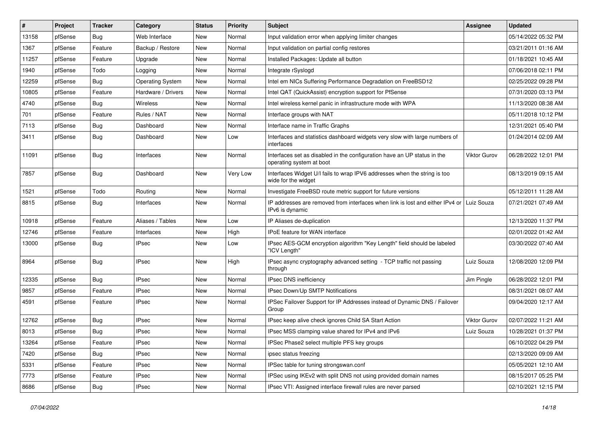| $\vert$ # | Project | <b>Tracker</b> | Category                | <b>Status</b> | <b>Priority</b> | Subject                                                                                              | Assignee            | <b>Updated</b>      |
|-----------|---------|----------------|-------------------------|---------------|-----------------|------------------------------------------------------------------------------------------------------|---------------------|---------------------|
| 13158     | pfSense | Bug            | Web Interface           | New           | Normal          | Input validation error when applying limiter changes                                                 |                     | 05/14/2022 05:32 PM |
| 1367      | pfSense | Feature        | Backup / Restore        | New           | Normal          | Input validation on partial config restores                                                          |                     | 03/21/2011 01:16 AM |
| 11257     | pfSense | Feature        | Upgrade                 | New           | Normal          | Installed Packages: Update all button                                                                |                     | 01/18/2021 10:45 AM |
| 1940      | pfSense | Todo           | Logging                 | New           | Normal          | Integrate rSyslogd                                                                                   |                     | 07/06/2018 02:11 PM |
| 12259     | pfSense | Bug            | <b>Operating System</b> | <b>New</b>    | Normal          | Intel em NICs Suffering Performance Degradation on FreeBSD12                                         |                     | 02/25/2022 09:28 PM |
| 10805     | pfSense | Feature        | Hardware / Drivers      | New           | Normal          | Intel QAT (QuickAssist) encryption support for PfSense                                               |                     | 07/31/2020 03:13 PM |
| 4740      | pfSense | <b>Bug</b>     | Wireless                | New           | Normal          | Intel wireless kernel panic in infrastructure mode with WPA                                          |                     | 11/13/2020 08:38 AM |
| 701       | pfSense | Feature        | Rules / NAT             | New           | Normal          | Interface groups with NAT                                                                            |                     | 05/11/2018 10:12 PM |
| 7113      | pfSense | Bug            | Dashboard               | New           | Normal          | Interface name in Traffic Graphs                                                                     |                     | 12/31/2021 05:40 PM |
| 3411      | pfSense | <b>Bug</b>     | Dashboard               | New           | Low             | Interfaces and statistics dashboard widgets very slow with large numbers of<br>interfaces            |                     | 01/24/2014 02:09 AM |
| 11091     | pfSense | Bug            | Interfaces              | New           | Normal          | Interfaces set as disabled in the configuration have an UP status in the<br>operating system at boot | <b>Viktor Gurov</b> | 06/28/2022 12:01 PM |
| 7857      | pfSense | Bug            | Dashboard               | New           | Very Low        | Interfaces Widget U/I fails to wrap IPV6 addresses when the string is too<br>wide for the widget     |                     | 08/13/2019 09:15 AM |
| 1521      | pfSense | Todo           | Routing                 | <b>New</b>    | Normal          | Investigate FreeBSD route metric support for future versions                                         |                     | 05/12/2011 11:28 AM |
| 8815      | pfSense | Bug            | Interfaces              | New           | Normal          | IP addresses are removed from interfaces when link is lost and either IPv4 or<br>IPv6 is dynamic     | Luiz Souza          | 07/21/2021 07:49 AM |
| 10918     | pfSense | Feature        | Aliases / Tables        | New           | Low             | IP Aliases de-duplication                                                                            |                     | 12/13/2020 11:37 PM |
| 12746     | pfSense | Feature        | Interfaces              | New           | High            | IPoE feature for WAN interface                                                                       |                     | 02/01/2022 01:42 AM |
| 13000     | pfSense | <b>Bug</b>     | <b>IPsec</b>            | <b>New</b>    | Low             | IPsec AES-GCM encryption algorithm "Key Length" field should be labeled<br>"ICV Length"              |                     | 03/30/2022 07:40 AM |
| 8964      | pfSense | Bug            | <b>IPsec</b>            | New           | High            | IPsec async cryptography advanced setting - TCP traffic not passing<br>through                       | Luiz Souza          | 12/08/2020 12:09 PM |
| 12335     | pfSense | <b>Bug</b>     | <b>IPsec</b>            | New           | Normal          | IPsec DNS inefficiency                                                                               | Jim Pingle          | 06/28/2022 12:01 PM |
| 9857      | pfSense | Feature        | <b>IPsec</b>            | New           | Normal          | IPsec Down/Up SMTP Notifications                                                                     |                     | 08/31/2021 08:07 AM |
| 4591      | pfSense | Feature        | <b>IPsec</b>            | New           | Normal          | IPSec Failover Support for IP Addresses instead of Dynamic DNS / Failover<br>Group                   |                     | 09/04/2020 12:17 AM |
| 12762     | pfSense | <b>Bug</b>     | <b>IPsec</b>            | New           | Normal          | IPsec keep alive check ignores Child SA Start Action                                                 | <b>Viktor Gurov</b> | 02/07/2022 11:21 AM |
| 8013      | pfSense | <b>Bug</b>     | <b>IPsec</b>            | New           | Normal          | IPsec MSS clamping value shared for IPv4 and IPv6                                                    | Luiz Souza          | 10/28/2021 01:37 PM |
| 13264     | pfSense | Feature        | <b>IPsec</b>            | New           | Normal          | IPSec Phase2 select multiple PFS key groups                                                          |                     | 06/10/2022 04:29 PM |
| 7420      | pfSense | Bug            | <b>IPsec</b>            | New           | Normal          | ipsec status freezing                                                                                |                     | 02/13/2020 09:09 AM |
| 5331      | pfSense | Feature        | <b>IPsec</b>            | New           | Normal          | IPSec table for tuning strongswan.conf                                                               |                     | 05/05/2021 12:10 AM |
| 7773      | pfSense | Feature        | <b>IPsec</b>            | New           | Normal          | IPSec using IKEv2 with split DNS not using provided domain names                                     |                     | 08/15/2017 05:25 PM |
| 8686      | pfSense | Bug            | <b>IPsec</b>            | New           | Normal          | IPsec VTI: Assigned interface firewall rules are never parsed                                        |                     | 02/10/2021 12:15 PM |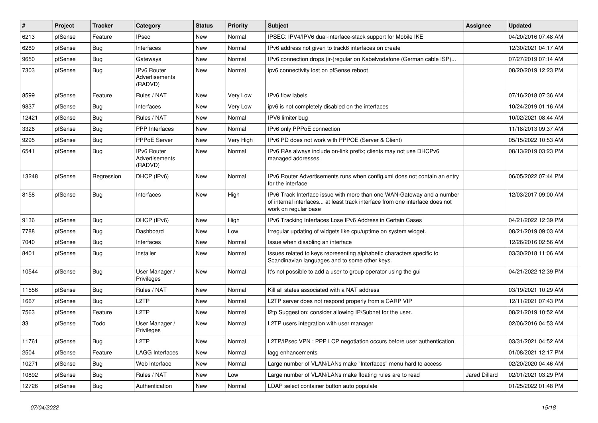| $\#$  | Project | <b>Tracker</b> | Category                                 | <b>Status</b> | <b>Priority</b> | <b>Subject</b>                                                                                                                                                                | Assignee             | <b>Updated</b>      |
|-------|---------|----------------|------------------------------------------|---------------|-----------------|-------------------------------------------------------------------------------------------------------------------------------------------------------------------------------|----------------------|---------------------|
| 6213  | pfSense | Feature        | <b>IPsec</b>                             | New           | Normal          | IPSEC: IPV4/IPV6 dual-interface-stack support for Mobile IKE                                                                                                                  |                      | 04/20/2016 07:48 AM |
| 6289  | pfSense | Bug            | Interfaces                               | <b>New</b>    | Normal          | IPv6 address not given to track6 interfaces on create                                                                                                                         |                      | 12/30/2021 04:17 AM |
| 9650  | pfSense | Bug            | Gateways                                 | New           | Normal          | IPv6 connection drops (ir-)regular on Kabelvodafone (German cable ISP)                                                                                                        |                      | 07/27/2019 07:14 AM |
| 7303  | pfSense | Bug            | IPv6 Router<br>Advertisements<br>(RADVD) | New           | Normal          | ipv6 connectivity lost on pfSense reboot                                                                                                                                      |                      | 08/20/2019 12:23 PM |
| 8599  | pfSense | Feature        | Rules / NAT                              | New           | Very Low        | IPv6 flow labels                                                                                                                                                              |                      | 07/16/2018 07:36 AM |
| 9837  | pfSense | Bug            | Interfaces                               | <b>New</b>    | Very Low        | ipv6 is not completely disabled on the interfaces                                                                                                                             |                      | 10/24/2019 01:16 AM |
| 12421 | pfSense | Bug            | Rules / NAT                              | New           | Normal          | IPV6 limiter bug                                                                                                                                                              |                      | 10/02/2021 08:44 AM |
| 3326  | pfSense | Bug            | <b>PPP</b> Interfaces                    | <b>New</b>    | Normal          | IPv6 only PPPoE connection                                                                                                                                                    |                      | 11/18/2013 09:37 AM |
| 9295  | pfSense | Bug            | PPPoE Server                             | New           | Very High       | IPv6 PD does not work with PPPOE (Server & Client)                                                                                                                            |                      | 05/15/2022 10:53 AM |
| 6541  | pfSense | Bug            | IPv6 Router<br>Advertisements<br>(RADVD) | New           | Normal          | IPv6 RAs always include on-link prefix; clients may not use DHCPv6<br>managed addresses                                                                                       |                      | 08/13/2019 03:23 PM |
| 13248 | pfSense | Regression     | DHCP (IPv6)                              | New           | Normal          | IPv6 Router Advertisements runs when config.xml does not contain an entry<br>for the interface                                                                                |                      | 06/05/2022 07:44 PM |
| 8158  | pfSense | Bug            | Interfaces                               | <b>New</b>    | High            | IPv6 Track Interface issue with more than one WAN-Gateway and a number<br>of internal interfaces at least track interface from one interface does not<br>work on regular base |                      | 12/03/2017 09:00 AM |
| 9136  | pfSense | Bug            | DHCP (IPv6)                              | <b>New</b>    | High            | IPv6 Tracking Interfaces Lose IPv6 Address in Certain Cases                                                                                                                   |                      | 04/21/2022 12:39 PM |
| 7788  | pfSense | Bug            | Dashboard                                | <b>New</b>    | Low             | Irregular updating of widgets like cpu/uptime on system widget.                                                                                                               |                      | 08/21/2019 09:03 AM |
| 7040  | pfSense | Bug            | Interfaces                               | New           | Normal          | Issue when disabling an interface                                                                                                                                             |                      | 12/26/2016 02:56 AM |
| 8401  | pfSense | <b>Bug</b>     | Installer                                | <b>New</b>    | Normal          | Issues related to keys representing alphabetic characters specific to<br>Scandinavian languages and to some other keys.                                                       |                      | 03/30/2018 11:06 AM |
| 10544 | pfSense | Bug            | User Manager /<br>Privileges             | <b>New</b>    | Normal          | It's not possible to add a user to group operator using the gui                                                                                                               |                      | 04/21/2022 12:39 PM |
| 11556 | pfSense | Bug            | Rules / NAT                              | <b>New</b>    | Normal          | Kill all states associated with a NAT address                                                                                                                                 |                      | 03/19/2021 10:29 AM |
| 1667  | pfSense | Bug            | L <sub>2</sub> TP                        | New           | Normal          | L2TP server does not respond properly from a CARP VIP                                                                                                                         |                      | 12/11/2021 07:43 PM |
| 7563  | pfSense | Feature        | L <sub>2</sub> TP                        | <b>New</b>    | Normal          | I2tp Suggestion: consider allowing IP/Subnet for the user.                                                                                                                    |                      | 08/21/2019 10:52 AM |
| 33    | pfSense | Todo           | User Manager /<br>Privileges             | New           | Normal          | L2TP users integration with user manager                                                                                                                                      |                      | 02/06/2016 04:53 AM |
| 11761 | pfSense | Bug            | L <sub>2</sub> TP                        | New           | Normal          | L2TP/IPsec VPN : PPP LCP negotiation occurs before user authentication                                                                                                        |                      | 03/31/2021 04:52 AM |
| 2504  | pfSense | Feature        | <b>LAGG Interfaces</b>                   | New           | Normal          | lagg enhancements                                                                                                                                                             |                      | 01/08/2021 12:17 PM |
| 10271 | pfSense | Bug            | Web Interface                            | New           | Normal          | Large number of VLAN/LANs make "Interfaces" menu hard to access                                                                                                               |                      | 02/20/2020 04:46 AM |
| 10892 | pfSense | <b>Bug</b>     | Rules / NAT                              | New           | Low             | Large number of VLAN/LANs make floating rules are to read                                                                                                                     | <b>Jared Dillard</b> | 02/01/2021 03:29 PM |
| 12726 | pfSense | <b>Bug</b>     | Authentication                           | New           | Normal          | LDAP select container button auto populate                                                                                                                                    |                      | 01/25/2022 01:48 PM |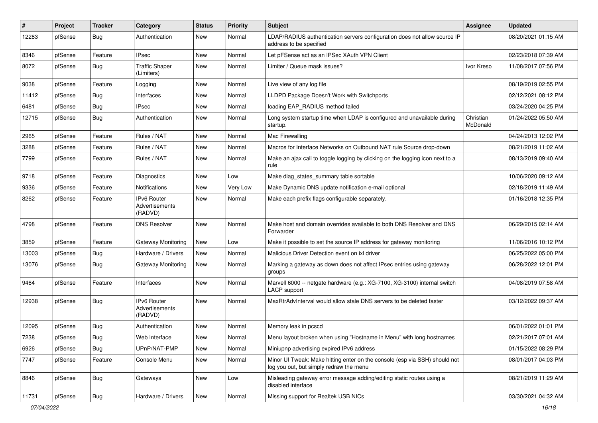| #     | Project | <b>Tracker</b> | Category                                 | <b>Status</b> | <b>Priority</b> | <b>Subject</b>                                                                                                        | <b>Assignee</b>       | <b>Updated</b>      |
|-------|---------|----------------|------------------------------------------|---------------|-----------------|-----------------------------------------------------------------------------------------------------------------------|-----------------------|---------------------|
| 12283 | pfSense | Bug            | Authentication                           | New           | Normal          | LDAP/RADIUS authentication servers configuration does not allow source IP<br>address to be specified                  |                       | 08/20/2021 01:15 AM |
| 8346  | pfSense | Feature        | <b>IPsec</b>                             | New           | Normal          | Let pFSense act as an IPSec XAuth VPN Client                                                                          |                       | 02/23/2018 07:39 AM |
| 8072  | pfSense | Bug            | <b>Traffic Shaper</b><br>(Limiters)      | New           | Normal          | Limiter / Queue mask issues?                                                                                          | Ivor Kreso            | 11/08/2017 07:56 PM |
| 9038  | pfSense | Feature        | Logging                                  | New           | Normal          | Live view of any log file                                                                                             |                       | 08/19/2019 02:55 PM |
| 11412 | pfSense | Bug            | Interfaces                               | New           | Normal          | LLDPD Package Doesn't Work with Switchports                                                                           |                       | 02/12/2021 08:12 PM |
| 6481  | pfSense | <b>Bug</b>     | <b>IPsec</b>                             | New           | Normal          | loading EAP RADIUS method failed                                                                                      |                       | 03/24/2020 04:25 PM |
| 12715 | pfSense | <b>Bug</b>     | Authentication                           | New           | Normal          | Long system startup time when LDAP is configured and unavailable during<br>startup.                                   | Christian<br>McDonald | 01/24/2022 05:50 AM |
| 2965  | pfSense | Feature        | Rules / NAT                              | New           | Normal          | Mac Firewalling                                                                                                       |                       | 04/24/2013 12:02 PM |
| 3288  | pfSense | Feature        | Rules / NAT                              | New           | Normal          | Macros for Interface Networks on Outbound NAT rule Source drop-down                                                   |                       | 08/21/2019 11:02 AM |
| 7799  | pfSense | Feature        | Rules / NAT                              | New           | Normal          | Make an ajax call to toggle logging by clicking on the logging icon next to a<br>rule                                 |                       | 08/13/2019 09:40 AM |
| 9718  | pfSense | Feature        | Diagnostics                              | New           | Low             | Make diag_states_summary table sortable                                                                               |                       | 10/06/2020 09:12 AM |
| 9336  | pfSense | Feature        | Notifications                            | New           | Very Low        | Make Dynamic DNS update notification e-mail optional                                                                  |                       | 02/18/2019 11:49 AM |
| 8262  | pfSense | Feature        | IPv6 Router<br>Advertisements<br>(RADVD) | New           | Normal          | Make each prefix flags configurable separately.                                                                       |                       | 01/16/2018 12:35 PM |
| 4798  | pfSense | Feature        | <b>DNS Resolver</b>                      | New           | Normal          | Make host and domain overrides available to both DNS Resolver and DNS<br>Forwarder                                    |                       | 06/29/2015 02:14 AM |
| 3859  | pfSense | Feature        | Gateway Monitoring                       | New           | Low             | Make it possible to set the source IP address for gateway monitoring                                                  |                       | 11/06/2016 10:12 PM |
| 13003 | pfSense | <b>Bug</b>     | Hardware / Drivers                       | New           | Normal          | Malicious Driver Detection event on ixl driver                                                                        |                       | 06/25/2022 05:00 PM |
| 13076 | pfSense | <b>Bug</b>     | Gateway Monitoring                       | <b>New</b>    | Normal          | Marking a gateway as down does not affect IPsec entries using gateway<br>groups                                       |                       | 06/28/2022 12:01 PM |
| 9464  | pfSense | Feature        | Interfaces                               | New           | Normal          | Marvell 6000 -- netgate hardware (e.g.: XG-7100, XG-3100) internal switch<br>LACP support                             |                       | 04/08/2019 07:58 AM |
| 12938 | pfSense | Bug            | IPv6 Router<br>Advertisements<br>(RADVD) | New           | Normal          | MaxRtrAdvInterval would allow stale DNS servers to be deleted faster                                                  |                       | 03/12/2022 09:37 AM |
| 12095 | pfSense | <b>Bug</b>     | Authentication                           | New           | Normal          | Memory leak in pcscd                                                                                                  |                       | 06/01/2022 01:01 PM |
| 7238  | pfSense | <b>Bug</b>     | Web Interface                            | New           | Normal          | Menu layout broken when using "Hostname in Menu" with long hostnames                                                  |                       | 02/21/2017 07:01 AM |
| 6926  | pfSense | <b>Bug</b>     | UPnP/NAT-PMP                             | New           | Normal          | Miniupnp advertising expired IPv6 address                                                                             |                       | 01/15/2022 08:29 PM |
| 7747  | pfSense | Feature        | Console Menu                             | New           | Normal          | Minor UI Tweak: Make hitting enter on the console (esp via SSH) should not<br>log you out, but simply redraw the menu |                       | 08/01/2017 04:03 PM |
| 8846  | pfSense | <b>Bug</b>     | Gateways                                 | New           | Low             | Misleading gateway error message adding/editing static routes using a<br>disabled interface                           |                       | 08/21/2019 11:29 AM |
| 11731 | pfSense | <b>Bug</b>     | Hardware / Drivers                       | New           | Normal          | Missing support for Realtek USB NICs                                                                                  |                       | 03/30/2021 04:32 AM |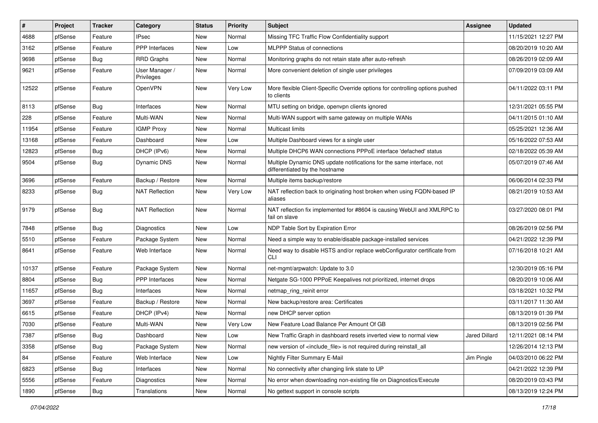| #     | Project | <b>Tracker</b> | Category                     | <b>Status</b> | Priority | <b>Subject</b>                                                                                          | Assignee      | <b>Updated</b>      |
|-------|---------|----------------|------------------------------|---------------|----------|---------------------------------------------------------------------------------------------------------|---------------|---------------------|
| 4688  | pfSense | Feature        | IPsec                        | New           | Normal   | Missing TFC Traffic Flow Confidentiality support                                                        |               | 11/15/2021 12:27 PM |
| 3162  | pfSense | Feature        | <b>PPP</b> Interfaces        | New           | Low      | <b>MLPPP Status of connections</b>                                                                      |               | 08/20/2019 10:20 AM |
| 9698  | pfSense | <b>Bug</b>     | <b>RRD Graphs</b>            | New           | Normal   | Monitoring graphs do not retain state after auto-refresh                                                |               | 08/26/2019 02:09 AM |
| 9621  | pfSense | Feature        | User Manager /<br>Privileges | New           | Normal   | More convenient deletion of single user privileges                                                      |               | 07/09/2019 03:09 AM |
| 12522 | pfSense | Feature        | OpenVPN                      | New           | Very Low | More flexible Client-Specific Override options for controlling options pushed<br>to clients             |               | 04/11/2022 03:11 PM |
| 8113  | pfSense | Bug            | Interfaces                   | New           | Normal   | MTU setting on bridge, openvpn clients ignored                                                          |               | 12/31/2021 05:55 PM |
| 228   | pfSense | Feature        | Multi-WAN                    | New           | Normal   | Multi-WAN support with same gateway on multiple WANs                                                    |               | 04/11/2015 01:10 AM |
| 11954 | pfSense | Feature        | <b>IGMP Proxy</b>            | New           | Normal   | <b>Multicast limits</b>                                                                                 |               | 05/25/2021 12:36 AM |
| 13168 | pfSense | Feature        | Dashboard                    | New           | Low      | Multiple Dashboard views for a single user                                                              |               | 05/16/2022 07:53 AM |
| 12823 | pfSense | Bug            | DHCP (IPv6)                  | New           | Normal   | Multiple DHCP6 WAN connections PPPoE interface 'defached' status                                        |               | 02/18/2022 05:39 AM |
| 9504  | pfSense | <b>Bug</b>     | <b>Dynamic DNS</b>           | New           | Normal   | Multiple Dynamic DNS update notifications for the same interface, not<br>differentiated by the hostname |               | 05/07/2019 07:46 AM |
| 3696  | pfSense | Feature        | Backup / Restore             | New           | Normal   | Multiple items backup/restore                                                                           |               | 06/06/2014 02:33 PM |
| 8233  | pfSense | <b>Bug</b>     | <b>NAT Reflection</b>        | New           | Very Low | NAT reflection back to originating host broken when using FQDN-based IP<br>aliases                      |               | 08/21/2019 10:53 AM |
| 9179  | pfSense | <b>Bug</b>     | <b>NAT Reflection</b>        | New           | Normal   | NAT reflection fix implemented for #8604 is causing WebUI and XMLRPC to<br>fail on slave                |               | 03/27/2020 08:01 PM |
| 7848  | pfSense | Bug            | Diagnostics                  | New           | Low      | NDP Table Sort by Expiration Error                                                                      |               | 08/26/2019 02:56 PM |
| 5510  | pfSense | Feature        | Package System               | New           | Normal   | Need a simple way to enable/disable package-installed services                                          |               | 04/21/2022 12:39 PM |
| 8641  | pfSense | Feature        | Web Interface                | New           | Normal   | Need way to disable HSTS and/or replace webConfigurator certificate from<br>CLI                         |               | 07/16/2018 10:21 AM |
| 10137 | pfSense | Feature        | Package System               | New           | Normal   | net-mgmt/arpwatch: Update to 3.0                                                                        |               | 12/30/2019 05:16 PM |
| 8804  | pfSense | <b>Bug</b>     | <b>PPP</b> Interfaces        | New           | Normal   | Netgate SG-1000 PPPoE Keepalives not prioritized, internet drops                                        |               | 08/20/2019 10:06 AM |
| 11657 | pfSense | <b>Bug</b>     | Interfaces                   | New           | Normal   | netmap_ring_reinit error                                                                                |               | 03/18/2021 10:32 PM |
| 3697  | pfSense | Feature        | Backup / Restore             | New           | Normal   | New backup/restore area: Certificates                                                                   |               | 03/11/2017 11:30 AM |
| 6615  | pfSense | Feature        | DHCP (IPv4)                  | New           | Normal   | new DHCP server option                                                                                  |               | 08/13/2019 01:39 PM |
| 7030  | pfSense | Feature        | Multi-WAN                    | New           | Very Low | New Feature Load Balance Per Amount Of GB                                                               |               | 08/13/2019 02:56 PM |
| 7387  | pfSense | Bug            | Dashboard                    | New           | Low      | New Traffic Graph in dashboard resets inverted view to normal view                                      | Jared Dillard | 12/11/2021 08:14 PM |
| 3358  | pfSense | Bug            | Package System               | New           | Normal   | new version of <include_file> is not required during reinstall_all</include_file>                       |               | 12/26/2014 12:13 PM |
| 84    | pfSense | Feature        | Web Interface                | New           | Low      | Nightly Filter Summary E-Mail                                                                           | Jim Pingle    | 04/03/2010 06:22 PM |
| 6823  | pfSense | <b>Bug</b>     | Interfaces                   | New           | Normal   | No connectivity after changing link state to UP                                                         |               | 04/21/2022 12:39 PM |
| 5556  | pfSense | Feature        | Diagnostics                  | New           | Normal   | No error when downloading non-existing file on Diagnostics/Execute                                      |               | 08/20/2019 03:43 PM |
| 1890  | pfSense | Bug            | Translations                 | New           | Normal   | No gettext support in console scripts                                                                   |               | 08/13/2019 12:24 PM |